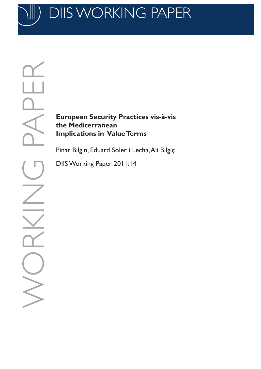DIIS WORKING PA

**European Security Practices vis-à-vis the Mediterranean Implications in Value Terms**

Pinar Bilgin, Eduard Soler i Lecha, Ali Bilgiç

DIIS Working Paper 2011:14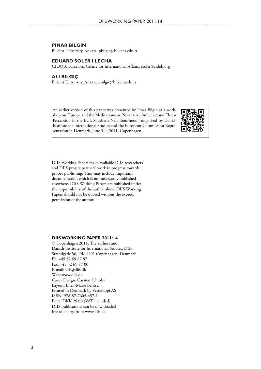#### **Pinar Bilgin**

Bilkent University, Ankara, pbilgin@bilkent.edu.tr

#### **Eduard Soler i Lecha**

CIDOB, Barcelona Centre for International Affairs, esoler@cidob.org

#### **Ali Bilgiç**

Bilkent University, Ankara, abilgic@bilkent.edu.tr

An earlier version of this paper was presented by Pinar Bilgin at a workshop on 'Europe and the Mediterranean: Normative Influence and Threat Perception in the EU's Southern Neighbourhood', organised by Danish Institute for International Studies and the European Commission Representation in Denmark, June 3-4, 2011, Copenhagen



DIIS Working Papers make available DIIS researchers' and DIIS project partners' work in progress towards proper publishing. They may include important documentation which is not necessarily published elsewhere. DIIS Working Papers are published under the responsibility of the author alone. DIIS Working Papers should not be quoted without the express permission of the author.

#### **DIIS WORKING PAPER 2011:14**

© Copenhagen 2011, The authors and Danish Institute for International Studies, DIIS Strandgade 56, DK-1401 Copenhagen, Denmark Ph: +45 32 69 87 87 Fax: +45 32 69 87 00 E-mail: diis@diis.dk Web: www.diis.dk Cover Design: Carsten Schiøler Layout: Ellen-Marie Bentsen Printed in Denmark by Vesterkopi AS ISBN: 978-87-7605-457-1 Price: DKK 25.00 (VAT included) DIIS publications can be downloaded free of charge from www.diis.dk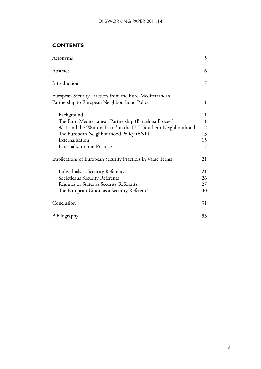# **Contents**

| Acronyms                                                        | 5  |
|-----------------------------------------------------------------|----|
| Abstract                                                        | 6  |
| Introduction                                                    | 7  |
| European Security Practices from the Euro-Mediterranean         |    |
| Partnership to European Neighbourhood Policy                    | 11 |
| Background                                                      | 11 |
| The Euro-Mediterranean Partnership (Barcelona Process)          | 11 |
| 9/11 and the 'War on Terror' in the EU's Southern Neighbourhood | 12 |
| The European Neighbourhood Policy (ENP)                         | 13 |
| Externalization                                                 | 15 |
| Externalization in Practice                                     | 17 |
| Implications of European Security Practices in Value Terms      | 21 |
| Individuals as Security Referents                               | 21 |
| Societies as Security Referents                                 | 26 |
| Regimes or States as Security Referents                         | 27 |
| The European Union as a Security Referent?                      | 30 |
| Conclusion                                                      | 31 |
| Bibliography                                                    | 33 |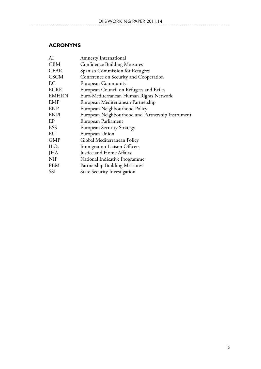## **Acronyms**

| AI               | <b>Amnesty International</b>                      |
|------------------|---------------------------------------------------|
| <b>CBM</b>       | <b>Confidence Building Measures</b>               |
| <b>CEAR</b>      | Spanish Commission for Refugees                   |
| <b>CSCM</b>      | Conference on Security and Cooperation            |
| EС               | <b>European Community</b>                         |
| <b>ECRE</b>      | European Council on Refugees and Exiles           |
| <b>EMHRN</b>     | Euro-Mediterranean Human Rights Network           |
| <b>EMP</b>       | European Mediterranean Partnership                |
| <b>ENP</b>       | European Neighbourhood Policy                     |
| <b>ENPI</b>      | European Neighbourhood and Partnership Instrument |
| EP               | European Parliament                               |
| ESS              | <b>European Security Strategy</b>                 |
| EU               | European Union                                    |
| <b>GMP</b>       | Global Mediterranean Policy                       |
| ILO <sub>s</sub> | <b>Immigration Liaison Officers</b>               |
| JHA              | Justice and Home Affairs                          |
| NIP              | National Indicative Programme                     |
| PBM              | Partnership Building Measures                     |
| SSI              | <b>State Security Investigation</b>               |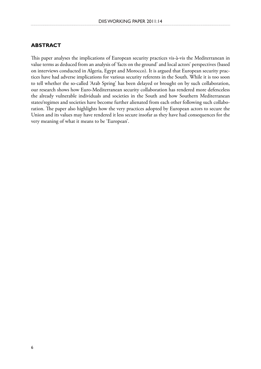## **Abstract**

This paper analyses the implications of European security practices vis-à-vis the Mediterranean in value terms as deduced from an analysis of 'facts on the ground' and local actors' perspectives (based on interviews conducted in Algeria, Egypt and Morocco). It is argued that European security practices have had adverse implications for various security referents in the South. While it is too soon to tell whether the so-called 'Arab Spring' has been delayed or brought on by such collaboration, our research shows how Euro-Mediterranean security collaboration has rendered more defenceless the already vulnerable individuals and societies in the South and how Southern Mediterranean states/regimes and societies have become further alienated from each other following such collaboration. The paper also highlights how the very practices adopted by European actors to secure the Union and its values may have rendered it less secure insofar as they have had consequences for the very meaning of what it means to be 'European'.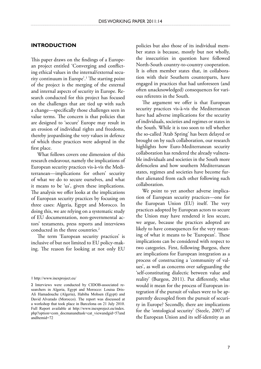### **Introduction**

This paper draws on the findings of a European project entitled 'Converging and conflicting ethical values in the internal/external security continuum in Europe'.1 The starting point of the project is the merging of the external and internal aspects of security in Europe. Research conducted for this project has focused on the challenges that are tied up with such a change—specifically those challenges seen in value terms. The concern is that policies that are designed to 'secure' Europe may result in an erosion of individual rights and freedoms, thereby jeopardising the very values in defence of which these practices were adopted in the first place.

What follows covers one dimension of this research endeavour, namely the implications of European security practices vis-à-vis the Mediterranean—implications for others' security of what we do to secure ourselves, and what it means to be 'us', given these implications. The analysis we offer looks at the implications of European security practices by focusing on three cases: Algeria, Egypt and Morocco. In doing this, we are relying on a systematic study of EU documentation, non-governmental actors' testaments, press reports and interviews conducted in the three countries.<sup>2</sup>

The term 'European security practices' is inclusive of but not limited to EU policy-making. The reason for looking at not only EU policies but also those of its individual member states is because, mostly but not wholly, the insecurities in question have followed North-South country-to-country cooperation. It is often member states that, in collaboration with their Southern counterparts, have engaged in practices that had unforeseen (and often unacknowledged) consequences for various referents in the South.

The argument we offer is that European security practices vis-à-vis the Mediterranean have had adverse implications for the security of individuals, societies and regimes or states in the South. While it is too soon to tell whether the so-called 'Arab Spring' has been delayed or brought on by such collaboration, our research highlights how Euro-Mediterranean security collaboration has rendered the already vulnerable individuals and societies in the South more defenceless and how southern Mediterranean states, regimes and societies have become further alienated from each other following such collaboration.

We point to yet another adverse implication of European security practices—one for the European Union (EU) itself. The very practices adopted by European actors to secure the Union may have rendered it less secure, we argue, because the practices adopted are likely to have consequences for the very meaning of what it means to be 'European'. These implications can be considered with respect to two categories. First, following Burgess, there are implications for European integration as a process of constructing a 'community of values', as well as concerns over safeguarding the 'self-constituting dialectic between value and reality' (Burgess, 2011). Put differently, what would it mean for the process of European integration if the pursuit of values were to be apparently decoupled from the pursuit of security in Europe? Secondly, there are implications for the 'ontological security' (Steele, 2007) of the European Union and its self-identity as an

<sup>1</sup> http://www.inexproject.eu/

<sup>2</sup> Interviews were conducted by CIDOB-associated researchers in Algeria, Egypt and Morocco: Louisa Dris-Ali Hamadouche (Algeria), Habiba Mohsen (Egypt) and David Alvarado (Morocco). The report was discussed at a workshop that took place in Barcelona on 21 July 2010. Full Report available at http://www.inexproject.eu/index. php?option=com\_docmanandtask=cat\_viewandgid=57and andItemid=72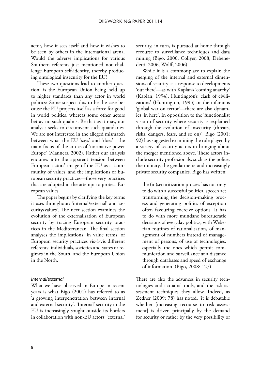actor, how it sees itself and how it wishes to be seen by others in the international arena. Would the adverse implications for various Southern referents just mentioned not challenge European self-identity, thereby producing ontological insecurity for the EU?

These two questions lead to another question: is the European Union being held up to higher standards than any actor in world politics? Some suspect this to be the case because the EU projects itself as a force for good in world politics, whereas some other actors betray no such qualms. Be that as it may, our analysis seeks to circumvent such quandaries. We are not interested in the alleged mismatch between what the EU 'says' and 'does'—the main focus of the critics of 'normative power Europe' (Manners, 2002). Rather our analysis enquires into the apparent tension between European actors' image of the EU as a 'community of values' and the implications of European security practices—those very practices that are adopted in the attempt to protect European values.

The paper begins by clarifying the key terms it uses throughout: 'internal/external' and 'security/values'. The next section examines the evolution of the externalisation of European security by tracing European security practices in the Mediterranean. The final section analyses the implications, in value terms, of European security practices vis-à-vis different referents: individuals, societies and states or regimes in the South, and the European Union in the North.

### *Internal/external*

What we have observed in Europe in recent years is what Bigo (2001) has referred to as 'a growing interpenetration between internal and external security'. 'Internal' security in the EU is increasingly sought outside its borders in collaboration with non-EU actors; 'external' security, in turn, is pursued at home through recourse to surveillance techniques and data mining (Bigo, 2000, Collyer, 2008, Debenedetti, 2006, Wolff, 2006).

While it is a commonplace to explain the merging of the internal and external dimensions of security as a response to developments 'out there'—as with Kaplan's 'coming anarchy' (Kaplan, 1994), Huntington's 'clash of civilizations' (Huntington, 1993) or the infamous 'global war on terror'—there are also dynamics 'in here'. In opposition to the 'functionalist vision of security where security is explained through the evolution of insecurity (threats, risks, dangers, fears, and so on)', Bigo (2001: 92) has suggested examining the role played by a variety of security actors in bringing about the merger mentioned above. These actors include security professionals, such as the police, the military, the gendarmerie and increasingly private security companies. Bigo has written:

the (in)securitization process has not only to do with a successful political speech act transforming the decision-making process and generating politics of exception often favouring coercive options. It has to do with more mundane bureaucratic decisions of everyday politics, with Weberian routines of rationalisation, of management of numbers instead of management of persons, of use of technologies, especially the ones which permit communication and surveillance at a distance through databases and speed of exchange of information. (Bigo, 2008: 127)

There are also the advances in security technologies and actuarial tools, and the risk-assessment techniques they allow. Indeed, as Zedner (2009: 78) has noted, 'it is debatable whether [increasing recourse to risk assessment] is driven principally by the demand for security or rather by the very possibility of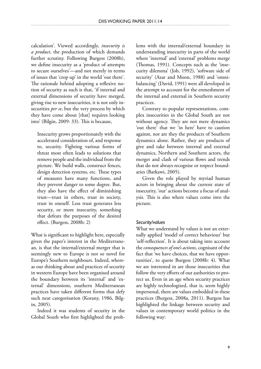calculation'. Viewed accordingly, *insecurity is a product*, the production of which demands further scrutiny. Following Burgess (2008b), we define insecurity as a 'product of attempts to secure ourselves'—and not merely in terms of issues that 'crop up' in the world 'out there'. The rationale behind adopting a reflexive notion of security as such is that, 'if internal and external dimensions of security have merged, giving rise to new insecurities, it is not only insecurities *per se*, but the very process by which they have come about [that] requires looking into' (Bilgin, 2009: 33). This is because,

Insecurity grows proportionately with the accelerated consideration of, and response to, security. Fighting various forms of threat most often leads to solutions that remove people and the individual from the picture. We build walls, construct fences, design detection systems, etc. These types of measures have many functions, and they prevent danger to some degree. But, they also have the effect of diminishing trust—trust in others, trust in society, trust in oneself. Less trust generates less security, or more insecurity, something that defeats the purposes of the desired effect. (Burgess, 2008b: 2)

What is significant to highlight here, especially given the paper's interest in the Mediterranean, is that the internal/external merger that is seemingly new to Europe is not so novel for Europe's Southern neighbours. Indeed, whereas our thinking about and practices of security in western Europe have been organised around the boundary between its 'internal' and 'external' dimensions, southern Mediterranean practices have taken different forms that defy such neat categorisation (Korany, 1986, Bilgin, 2005).

Indeed it was students of security in the Global South who first highlighted the problems with the internal/external boundary in understanding insecurity in parts of the world where 'internal' and 'external' problems merge (Thomas, 1991). Concepts such as the 'insecurity dilemma' (Job, 1992), 'software side of security' (Azar and Moon, 1988) and 'omnibalancing' (David, 1991) were all developed in the attempt to account for the enmeshment of the internal and external in Southern security practices.

Contrary to popular representations, complex insecurities in the Global South are not without agency. They are not mere dynamics 'out there' that we 'in here' have to caution against, nor are they the products of Southern dynamics alone. Rather, they are products of give and take between internal and external dynamics, Northern and Southern actors, the merger and clash of various flows and trends that do not always recognise or respect boundaries (Barkawi, 2005).

Given the role played by myriad human actors in bringing about the current state of insecurity, 'our' actions become a focus of analysis. This is also where values come into the picture.

## *Security/values*

What we understand by values is not an externally applied 'model of correct behaviour' but 'self-reflection'. It is about taking into account the *consequences of one's actions*, cognisant of the fact that 'we have choices, that we have opportunities', to quote Burgess (2008b: 4). What we are interested in are those insecurities that follow the very efforts of our authorities to protect us. Even in an age when security practices are highly technologized, that is, seem highly impersonal, there are values embedded in these practices (Burgess, 2008a, 2011). Burgess has highlighted the linkage between security and values in contemporary world politics in the following way: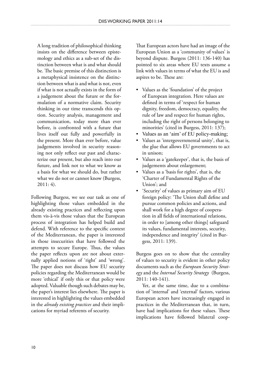A long tradition of philosophical thinking insists on the difference between epistemology and ethics as a sub-set of the distinction between what is and what should be. The basic premise of this distinction is a metaphysical insistence on the distinction between what is and what is not, even if what is not actually exists in the form of a judgement about the future or the formulation of a normative claim. Security thinking in our time transcends this option. Security analysis, management and communication, today more than ever before, is confronted with a future that lives itself out fully and powerfully in the present. More than ever before, value judgements involved in security reasoning not only reflect our past and characterize our present, but also reach into our future, and link not to what we know as a basis for what we should do, but rather what we do not or cannot know (Burgess, 2011: 4).

Following Burgess, we see our task as one of highlighting those values embedded in the already existing practices and reflecting upon them vis-à-vis those values that the European process of integration has helped build and defend. With reference to the specific context of the Mediterranean, the paper is interested in those insecurities that have followed the attempts to secure Europe. Thus, the values the paper reflects upon are not about externally applied notions of 'right' and 'wrong'. The paper does not discuss how EU security policies regarding the Mediterranean would be more 'ethical' if only this or that policy were adopted. Valuable though such debates may be, the paper's interest lies elsewhere. The paper is interested in highlighting the values embedded in the *already existing practices* and their implications for myriad referents of security.

That European actors have had an image of the European Union as a 'community of values' is beyond dispute. Burgess (2011: 136-140) has pointed to six areas where EU texts assume a link with values in terms of what the EU is and aspires to be. These are:

- Values as the 'foundation' of the project of European integration. Here values are defined in terms of 'respect for human dignity, freedom, democracy, equality, the rule of law and respect for human rights, including the right of persons belonging to minorities' (cited in Burgess, 2011: 137);
- Values as an 'aim' of EU policy-making;
- Values as 'intergovernmental unity', that is, the glue that allows EU governments to act in unison;
- Values as a 'gatekeeper', that is, the basis of judgements about enlargement;
- Values as a 'basis for rights', that is, the 'Charter of Fundamental Rights of the Union'; and
- 'Security' of values as primary aim of EU •foreign policy: 'The Union shall define and pursue common policies and actions, and shall work for a high degree of cooperation in all fields of international relations, in order to [among other things] safeguard its values, fundamental interests, security, independence and integrity' (cited in Burgess, 2011: 139).

Burgess goes on to show that the centrality of values to security is evident in other policy documents such as the *European Security Strategy* and the *Internal Security Strategy* (Burgess, 2011: 140-141).

Yet, at the same time, due to a combination of 'internal' and 'external' factors, various European actors have increasingly engaged in practices in the Mediterranean that, in turn, have had implications for these values. These implications have followed bilateral coop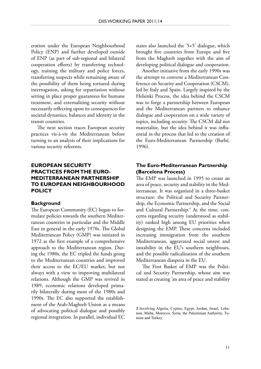eration under the European Neighbourhood Policy (ENP) and further developed outside of ENP (as part of sub-regional and bilateral cooperation efforts) by transferring technology, training the military and police forces, transferring suspects while remaining aware of the possibility of them being tortured during interrogation, asking for repatriation without setting in place proper guarantees for humane treatment, and externalizing security without necessarily reflecting upon its consequences for societal dynamics, balances and identity in the transit countries.

The next section traces European security practices vis-à-vis the Mediterranean before turning to an analysis of their implications for various security referents.

## **European Security Practices from the Euro-Mediterranean Partnership to European Neighbourhood Policy**

#### **Background**

The European Community (EC) began to formulate policies towards the southern Mediterranean countries in particular and the Middle East in general in the early 1970s. The Global Mediterranean Policy (GMP) was initiated in 1972 as the first example of a comprehensive approach to the Mediterranean region. During the 1980s, the EC tripled the funds going to the Mediterranean countries and improved their access to the EC/EU market, but not always with a view to improving multilateral relations. Although the GMP was revived in 1989, economic relations developed primarily bilaterally during most of the 1980s and 1990s. The EC also supported the establishment of the Arab-Maghreb Union as a means of advocating political dialogue and possibly regional integration. In parallel, individual EC states also launched the '5+5' dialogue, which brought five countries from Europe and five from the Maghreb together with the aim of developing political dialogue and cooperation.

Another initiative from the early 1990s was the attempt to convene a Mediterranean Conference on Security and Cooperation (CSCM), led by Italy and Spain. Largely inspired by the Helsinki Process, the idea behind the CSCM was to forge a partnership between European and the Mediterranean partners to enhance dialogue and cooperation on a wide variety of topics, including security. The CSCM did not materialize, but the idea behind it was influential in the process that led to the creation of the Euro-Mediterranean Partnership (Barbé, 1996).

## **The Euro-Mediterranean Partnership (Barcelona Process)**

The EMP was launched in 1995 to create an area of peace, security and stability in the Mediterranean. It was organized in a three-basket structure: the Political and Security Partnership, the Economic Partnership, and the Social and Cultural Partnership.<sup>3</sup> At the time, concerns regarding security (understood as stability) ranked high among EU priorities when designing the EMP. These concerns included increasing immigration from the southern Mediterranean, aggravated social unrest and instability in the EU's southern neighbours, and the possible radicalization of the southern Mediterranean diaspora in the EU.

The First Basket of EMP was the Political and Security Partnership, whose aim was stated as creating 'an area of peace and stability

<sup>3</sup> Involving Algeria, Cyprus, Egypt, Jordan, Israel, Lebanon, Malta, Morocco, Syria, the Palestinian Authority, Tunisia and Turkey.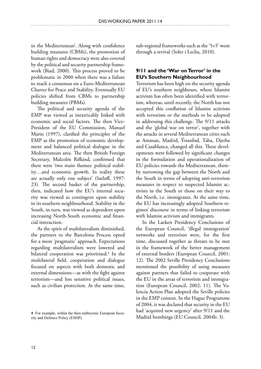in the Mediterranean'. Along with confidence building measures (CBMs), the promotion of human rights and democracy were also covered by the political and security partnership framework (Biad, 2000). This process proved to be problematic in 2000 when there was a failure to reach a consensus on a Euro-Mediterranean Charter for Peace and Stability. Eventually EU policies shifted from CBMs to partnership building measures (PBMs).

The political and security agenda of the EMP was viewed as inextricably linked with economic and social factors. The then Vice-President of the EU Commission, Manuel Marin (1997), clarified the principles of the EMP as the promotion of economic development and balanced political dialogue in the Mediterranean area. The then British Foreign Secretary, Malcolm Rifkind, confirmed that there were 'two main themes: political stability…and economic growth. In reality these are actually only one subject' (Satloff, 1997: 23). The second basket of the partnership, then, indicated how the EU's internal security was viewed as contingent upon stability in its southern neighbourhood. Stability in the South, in turn, was viewed as dependent upon increasing North-South economic and financial interaction.

As the spirit of multilateralism diminished, the partners to the Barcelona Process opted for a more 'pragmatic' approach. Expectations regarding multilateralism were lowered and bilateral cooperation was prioritised.<sup>4</sup> In the multilateral field, cooperation and dialogue focused on aspects with both domestic and external dimensions—as with the fight against terrorism—and less sensitive political issues, such as civilian protection. At the same time,

sub-regional frameworks such as the '5+5' went through a revival (Soler i Lecha, 2010).

## **9/11 and the 'War on Terror' in the EU's Southern Neighbourhood**

Terrorism has been high on the security agenda of EU's southern neighbours, where Islamist activism has often been identified with terrorism, whereas, until recently, the North has not accepted this conflation of Islamist activism with terrorism or the methods to be adopted in addressing this challenge. The 9/11 attacks and the 'global war on terror', together with the attacks in several Mediterranean cities such as Amman, Madrid, Ýstanbul, Taba, Djerba and Casablanca, changed all this. These developments were followed by significant changes in the formulation and operationalization of EU policies towards the Mediterranean, thereby narrowing the gap between the North and the South in terms of adopting anti-terrorism measures in respect to suspected Islamist activists in the South or those on their way to the North, i.e. immigrants. At the same time, the EU has increasingly adopted Southern regimes' discourse in terms of linking terrorism with Islamist activism and immigrants.

In the Laeken Presidency Conclusions of the European Council, 'illegal immigration' networks and terrorism were, for the first time, discussed together as threats to be met in the framework of the better management of external borders (European Council, 2001: 12). The 2002 Seville Presidency Conclusions mentioned the possibility of using measures against partners that failed to cooperate with the EU in the areas of terrorism and immigration (European Council, 2002: 11). The Valencia Action Plan adopted the Seville policies in the EMP context. In the Hague Programme of 2004, it was declared that security in the EU had 'acquired new urgency' after 9/11 and the Madrid bombings (EU Council, 2004b: 3).

<sup>4</sup> For example, within the then embryonic European Security and Defence Policy (ESDP).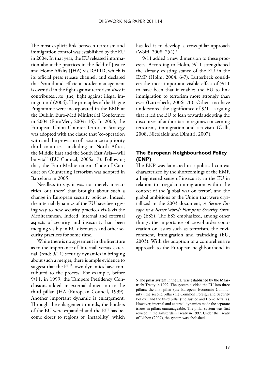The most explicit link between terrorism and immigration control was established by the EU in 2004. In that year, the EU released information about the practices in the field of Justice and Home Affairs (JHA) via RAPID, which is its official press release channel, and declared that 'sound and efficient border management is essential in the fight against terrorism *since* it contributes…to [the] fight against illegal immigration' (2004). The principles of the Hague Programme were incorporated in the EMP at the Dublin Euro-Med Ministerial Conference in 2004 (EuroMed, 2004: 16). In 2005, the European Union Counter-Terrorism Strategy was adopted with the clause that 'co-operation with and the provision of assistance to priority third countries—including in North Africa, the Middle East and the South East Asia—will be vital' (EU Council, 2005a: 7). Following that, the Euro-Mediterranean Code of Conduct on Countering Terrorism was adopted in Barcelona in 2005.

Needless to say, it was not merely insecurities 'out there' that brought about such a change in European security policies. Indeed, the internal dynamics of the EU have been giving way to new security practices vis-à-vis the Mediterranean. Indeed, internal and external aspects of security and insecurity had been merging visibly in EU discourses and other security practices for some time.

While there is no agreement in the literature as to the importance of 'internal' versus 'external' (read: 9/11) security dynamics in bringing about such a merger, there is ample evidence to suggest that the EU's own dynamics have contributed to the process. For example, before 9/11, in 1999, the Tampere Presidency Conclusions added an external dimension to the third pillar, JHA (European Council, 1999). Another important dynamic is enlargement. Through the enlargement rounds, the borders of the EU were expanded and the EU has become closer to regions of 'instability', which has led it to develop a cross-pillar approach (Wolff, 2008: 254).<sup>5</sup>

9/11 added a new dimension to these processes. According to Holm, 9/11 strengthened the already existing stance of the EU in the EMP (Holm, 2004: 6-7). Lutterbeck considers the most important visible effect of 9/11 to have been that it enables the EU to link immigration to terrorism more strongly than ever (Lutterbeck, 2006: 70). Others too have underscored the significance of 9/11, arguing that it led the EU to lean towards adopting the discourses of authoritarian regimes concerning terrorism, immigration and activism (Galli, 2008, Nicolaidis and Dimitri, 2007).

## **The European Neighbourhood Policy (ENP)**

The ENP was launched in a political context characterized by the shortcomings of the EMP, a heightened sense of insecurity in the EU in relation to irregular immigration within the context of the 'global war on terror', and the global ambitions of the Union that were crystallized in the 2003 document, *A Secure Europe in a Better World: European Security Strategy* (ESS). The ESS emphasized, among other things, the importance of cross-border cooperation on issues such as terrorism, the environment, immigration and trafficking (EU, 2003). With the adoption of a comprehensive approach to the European neighbourhood in

5 The pillar system in the EU was established by the Maastricht Treaty in 1992. The system divided the EU into three pillars: the first pillar (the European Economic Community), the second pillar (the Common Foreign and Security Policy), and the third pillar (the Justice and Home Affairs). However, internal and external dynamics made the separate issues in pillars unmanageable. The pillar system was first revised in the Amsterdam Treaty in 1997. Under the Treaty of Lisbon (2009), the system was abolished.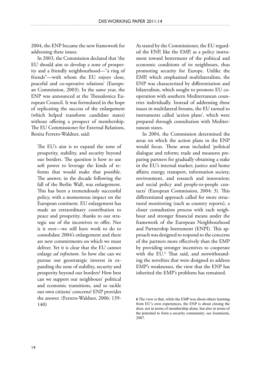2004, the ENP became the new framework for addressing these issues.

In 2003, the Commission declared that 'the EU should aim to develop a zone of prosperity and a friendly neighbourhood—"a ring of friends"—with whom the EU enjoys close, peaceful and co-operative relations' (European Commission, 2003). In the same year, the ENP was announced at the Thessalonica European Council. It was formulated in the hope of replicating the success of the enlargement (which helped transform candidate states) without offering a prospect of membership. The EU Commissioner for External Relations, Benita Ferrero-Waldner, said:

The EU's aim is to expand the zone of prosperity, stability, and security beyond our borders. The question is how to use soft power to leverage the kinds of reforms that would make that possible. The answer, in the decade following the fall of the Berlin Wall, was enlargement. This has been a tremendously successful policy, with a momentous impact on the European continent. EU enlargement has made an extraordinary contribution to peace and prosperity, thanks to our strategic use of the incentives to offer. Nor is it over—we still have work to do to consolidate 2004's enlargement and there are new commitments on which we must deliver. Yet it is clear that the EU cannot enlarge *ad infinitum*. So how else can we pursue our geostrategic interest in expanding the zone of stability, security and prosperity beyond our borders? How best can we support our neighbours' political and economic transitions, and so tackle our own citizens' concerns? ENP provides the answer. (Ferrero-Waldner, 2006: 139- 140)

As stated by the Commissioner, the EU regarded the ENP, like the EMP, as a policy instrument toward betterment of the political and economic conditions of its neighbours, thus promoting security for Europe. Unlike the EMP, which emphasized multilateralism, the ENP was characterized by differentiation and bilateralism, which sought to promote EU cooperation with southern Mediterranean countries individually. Instead of addressing these issues in multilateral forums, the EU turned to instruments called 'action plans', which were prepared through consultation with Mediterranean states.

In 2004, the Commission determined the areas on which the action plans in the ENP would focus. These areas included 'political dialogue and reform; trade and measures preparing partners for gradually obtaining a stake in the EU's internal market; justice and home affairs; energy, transport, information society, environment, and research and innovation; and social policy and people-to-people contacts' (European Commission, 2004: 3). This differentiated approach called for more structured monitoring (such as country reports), a closer consultation process with each neighbour and stronger financial means under the framework of the European Neighbourhood and Partnership Instrument (ENPI). This approach was designed to respond to the concerns of the partners more effectively than the EMP by providing stronger incentives to cooperate with the EU.6 That said, and notwithstanding the novelties that were designed to address EMP's weaknesses, the view that the ENP has inherited the EMP's problems has remained.

The view is that, while the EMP was about others learning from EU's own experiences, the ENP is about closing the door, not in terms of membership alone, but also in terms of the potential to form a security community; see Joenniemi, 2007.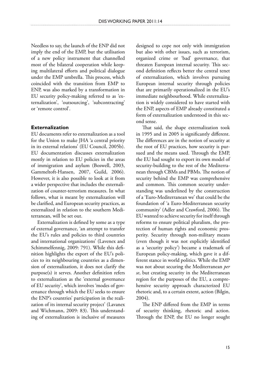Needless to say, the launch of the ENP did not imply the end of the EMP, but the utilisation of a new policy instrument that channelled most of the bilateral cooperation while keeping multilateral efforts and political dialogue under the EMP umbrella. This process, which coincided with the transition from EMP to ENP, was also marked by a transformation in EU security policy-making referred to as 'externalization', 'outsourcing', 'subcontracting' or 'remote control'.

#### **Externalization**

EU documents refer to externalization as a tool for the Union to make JHA 'a central priority in its external relations' (EU Council, 2005b). EU documentation discusses externalization mostly in relation to EU policies in the areas of immigration and asylum (Boswell, 2003, Gammeltoft-Hansen, 2007, Guild, 2006). However, it is also possible to look at it from a wider perspective that includes the externalization of counter-terrorism measures. In what follows, what is meant by externalization will be clarified, and European security practices, as externalized in relation to the southern Mediterranean, will be set out.

Externalization is defined by some as a type of external governance, 'an attempt to transfer the EU's rules and policies to third countries and international organizations' (Lavenex and Schimmelfennig, 2009: 791). While this definition highlights the export of the EU's policies to its neighbouring countries as a dimension of externalization, it does not clarify the purpose(s) it serves. Another definition refers to externalization as the 'external governance of EU security', which involves 'modes of governance through which the EU seeks to ensure the ENP's countries' participation in the realization of its internal security project' (Lavanex and Wichmann, 2009: 83). This understanding of externalization is inclusive of measures designed to cope not only with immigration but also with other issues, such as terrorism, organized crime or 'bad' governance, that threaten European internal security. This second definition reflects better the central tenet of externalization, which involves pursuing European internal security through policies that are primarily operationalized in the EU's immediate neighbourhood. While externalization is widely considered to have started with the ENP, aspects of EMP already constituted a form of externalization understood in this second sense.

That said, the shape externalization took in 1995 and in 2005 is significantly different. The differences are in the notion of security at the root of EU practices, how security is pursued and the means used. Through the EMP, the EU had sought to export its own model of security-building to the rest of the Mediterranean through CBMs and PBMs. The notion of security behind the EMP was comprehensive and common. This common security understanding was underlined by the construction of a 'Euro-Mediterranean we' that could be the foundation of 'a Euro-Mediterranean security community' (Adler and Crawford, 2006). The EU wanted to achieve security for itself through reforms to ensure political pluralism, the protection of human rights and economic prosperity. Security through non-military means (even though it was not explicitly identified as a 'security policy') became a trademark of European policy-making, which gave it a different stance in world politics. While the EMP was not about securing the Mediterranean *per se*, but creating security in the Mediterranean region for the purposes of the EU, a comprehensive security approach characterized EU rhetoric and, to a certain extent, action (Bilgin, 2004).

The ENP differed from the EMP in terms of security thinking, rhetoric and action. Through the ENP, the EU no longer sought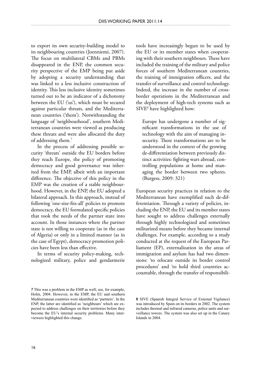to export its own security-building model to its neighbouring countries (Joenniemi, 2007). The focus on multilateral CBMs and PBMs disappeared in the ENP, the common security perspective of the EMP being put aside by adopting a security understanding that was linked to a less inclusive construction of identity. This less inclusive identity sometimes turned out to be an indicator of a dichotomy between the EU ('us'), which must be secured against particular threats, and the Mediterranean countries ('them'). Notwithstanding the language of 'neighbourhood', southern Mediterranean countries were viewed as producing these threats and were also allocated the duty of addressing them.7

In the process of addressing possible security 'threats' outside the EU borders before they reach Europe, the policy of promoting democracy and good governance was inherited from the EMP, albeit with an important difference. The objective of this policy in the EMP was the creation of a stable neighbourhood. However, in the ENP, the EU adopted a bilateral approach. In this approach, instead of following 'one-size-fits-all' policies to promote democracy, the EU formulated specific policies that took the needs of the partner state into account. In those instances where the partner state is not willing to cooperate (as in the case of Algeria) or only in a limited manner (as in the case of Egypt), democracy promotion policies have been less than effective.

In terms of security policy-making, technologized military, police and gendarmerie

tools have increasingly begun to be used by the EU or its member states when cooperating with their southern neighbours. These have included the training of the military and police forces of southern Mediterranean countries, the training of immigration officers, and the transfer of surveillance and control technology. Indeed, the increase in the number of crossborder operations in the Mediterranean and the deployment of high-tech systems such as SIVE8 have highlighted how:

Europe has undergone a number of significant transformations in the use of technology with the aim of managing insecurity. These transformations are to be understood in the context of the growing de-differentiation between previously distinct activities: fighting wars abroad, controlling populations at home and managing the border between two spheres. (Burgess, 2009: 321)

European security practices in relation to the Mediterranean have exemplified such de-differentiation. Through a variety of policies, including the ENP, the EU and its member states have sought to address challenges externally through highly technologized and sometimes militarized means before they became internal challenges. For example, according to a study conducted at the request of the European Parliament (EP), externalization in the areas of immigration and asylum has had two dimensions: 'to relocate outside its border control procedures' and 'to hold third countries accountable, through the transfer of responsibili-

This was a problem in the EMP as well; see, for example, Holm, 2004. However, in the EMP, the EU and southern Mediterranean countries were identified as 'partners'. In the ENP, the latter are identified as 'neighbours' which are expected to address challenges on their territories before they become the EU's internal security problems. Many interviewees highlighted this change.

<sup>8</sup> SIVE (Spanish Integral Service of External Vigilance) was introduced by Spain on its borders in 2002. The system includes thermal and infrared cameras, police units and surveillance towers. The system was also set up in the Canary Islands in 2004.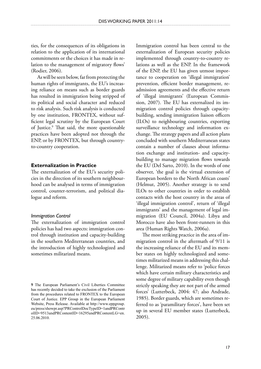ties, for the consequences of its obligations in relation to the application of its international commitments or the choices it has made in relation to the management of migratory flows' (Rodier, 2006).

As will be seen below, far from protecting the human rights of immigrants, the EU's increasing reliance on means such as border guards has resulted in immigration being stripped of its political and social character and reduced to risk analysis. Such risk analysis is conducted by one institution, FRONTEX, without sufficient legal scrutiny by the European Court of Justice.<sup>9</sup> That said, the more questionable practices have been adopted not through the ENP, or by FRONTEX, but through countryto-country cooperation.

### **Externalization in Practice**

The externalization of the EU's security policies in the direction of its southern neighbourhood can be analysed in terms of immigration control, counter-terrorism, and political dialogue and reform.

#### *Immigration Control*

The externalization of immigration control policies has had two aspects: immigration control through institution and capacity-building in the southern Mediterranean countries, and the introduction of highly technologized and sometimes militarized means.

Immigration control has been central to the externalization of European security policies implemented through country-to-country relations as well as the ENP. In the framework of the ENP, the EU has given utmost importance to cooperation on 'illegal immigration' prevention, efficient border management, readmission agreements and the effective return of 'illegal immigrants' (European Commission, 2007). The EU has externalized its immigration control policies through capacitybuilding, sending immigration liaison officers (ILOs) to neighbouring countries, exporting surveillance technology and information exchange. The strategy papers and all action plans concluded with southern Mediterranean states contain a number of clauses about information exchange and institution- and capacitybuilding to manage migration flows towards the EU (Del Sarto, 2010). In the words of one observer, 'the goal is the virtual extension of European borders to the North African coasts' (Helmut, 2005). Another strategy is to send ILOs to other countries in order to establish contacts with the host country in the areas of 'illegal immigration control', return of 'illegal immigrants' and the management of legal immigration (EU Council, 2004a). Libya and Morocco have also been front-runners in this area (Human Rights Watch, 2006a).

The most striking practice in the area of immigration control in the aftermath of 9/11 is the increasing reliance of the EU and its member states on highly technologized and sometimes militarized means in addressing this challenge. Militarized means refer to 'police forces which have certain military characteristics and some degree of military capability even though strictly speaking they are not part of the armed forces' (Lutterbeck, 2004: 47; also Andrade, 1985). Border guards, which are sometimes referred to as 'paramilitary forces', have been set up in several EU member states (Lutterbeck, 2005).

<sup>9</sup> The European Parliament's Civil Liberties Committee has recently decided to take the exclusion of the Parliament from the procedures related to FRONTEX to the European Court of Justice. EPP Group in the European Parliament Website, Press Release. Available at http://www.eppgroup. eu/press/showpr.asp?PRControlDocTypeID=1andPRContr olID=9513andPRContentID=16295andPRContentLG=en. 25.06.2010.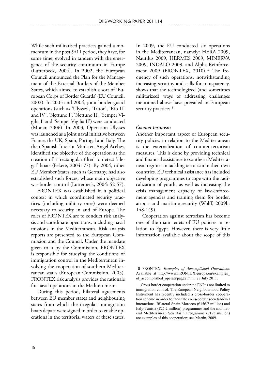While such militarised practices gained a momentum in the post-9/11 period, they have, for some time, evolved in tandem with the emergence of the security continuum in Europe (Lutterbeck, 2004). In 2002, the European Council announced the Plan for the Management of the External Borders of the Member States, which aimed to establish a sort of 'European Corps of Border Guards' (EU Council, 2002). In 2003 and 2004, joint border-guard operations (such as 'Ulysses', 'Triton', 'Rio III and IV', 'Nettuno I', 'Nettuno II', 'Semper Vigilia I' and 'Semper Vigilia II') were conducted (Monar, 2006). In 2003, Operation Ulysses was launched as a joint naval initiative between France, the UK, Spain, Portugal and Italy. The then Spanish Interior Minister, Angel Acebes, identified the objective of the operation as the creation of a 'rectangular filter' to detect 'illegal' boats (Fekete, 2004: 77). By 2004, other EU Member States, such as Germany, had also established such forces, whose main objective was border control (Lutterbeck, 2004: 52-57).

FRONTEX was established in a political context in which coordinated security practices (including military ones) were deemed necessary to security in and of Europe. The roles of FRONTEX are to conduct risk analysis and coordinate operations, including naval missions in the Mediterranean. Risk analysis reports are presented to the European Commission and the Council. Under the mandate given to it by the Commission, FRONTEX is responsible for studying the conditions of immigration control in the Mediterranean involving the cooperation of southern Mediterranean states (European Commission, 2005). FRONTEX risk analysis provides the rationale for naval operations in the Mediterranean.

During this period, bilateral agreements between EU member states and neighbouring states from which the irregular immigration boats depart were signed in order to enable operations in the territorial waters of these states. In 2009, the EU conducted six operations in the Mediterranean, namely: HERA 2009, Nautilus 2009, HERMES 2009, MINERVA 2009, INDALO 2009, and Alpha Reinforcement 2009 (FRONTEX, 2010).<sup>10</sup> The frequency of such operations, notwithstanding increasing scrutiny and calls for transparency, shows that the technologized (and sometimes militarized) ways of addressing challenges mentioned above have prevailed in European security practices.<sup>11</sup>

### *Counter-terrorism*

Another important aspect of European security policies in relation to the Mediterranean is the externalization of counter-terrorism measures. This is done by providing technical and financial assistance to southern Mediterranean regimes in tackling terrorism in their own countries. EU technical assistance has included developing programmes to cope with the radicalization of youth, as well as increasing the crisis management capacity of law-enforcement agencies and training them for border, airport and maritime security (Wolff, 2009b: 148-149).

Cooperation against terrorism has become one of the main tenets of EU policies in relation to Egypt. However, there is very little information available about the scope of this

<sup>10</sup> FRONTEX, *Examples of Accomplished Operations*. Available at http://www.FRONTEX.europa.eu/examples\_ of accomplished operati/page2.html. 28 July 2011.

<sup>11</sup> Cross-border cooperation under the ENP is not limited to immigration control. The European Neighbourhood Policy Instrument has recently included a cross-border cooperation scheme in order to facilitate cross-border societal-level interactions. Bilateral Spain-Morocco (€156.7 million) and Italy-Tunisia ( $E$ 25.2 million) programmes and the multilateral Mediterranean Sea Basin Programme (€173 million) are examples of this cooperation; see Martin, 2009.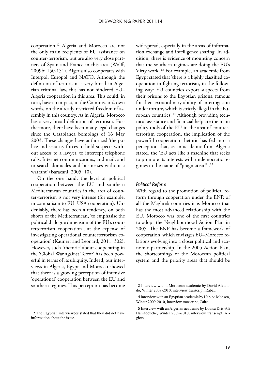cooperation.12 Algeria and Morocco are not the only main recipients of EU assistance on counter-terrorism, but are also very close partners of Spain and France in this area (Wolff, 2009b: 150-151). Algeria also cooperates with Interpol, Europol and NATO. Although the definition of terrorism is very broad in Algerian criminal law, this has not hindered EU– Algeria cooperation in this area. This could, in turn, have an impact, in the Commission's own words, on the already restricted freedom of assembly in this country. As in Algeria, Morocco has a very broad definition of terrorism. Furthermore, there have been many legal changes since the Casablanca bombings of 16 May 2003. These changes have authorized 'the police and security forces to hold suspects without access to a lawyer, to intercept telephone calls, Internet communications, and mail, and to search domiciles and businesses without a warrant' (Baracani, 2005: 10).

On the one hand, the level of political cooperation between the EU and southern Mediterranean countries in the area of counter-terrorism is not very intense (for example, in comparison to EU–USA cooperation). Undeniably, there has been a tendency, on both shores of the Mediterranean, 'to emphasise the political dialogue dimension of the EU's counterterrorism cooperation…at the expense of investigating operational counterterrorism cooperation' (Kaunert and Leonard, 2011: 302). However, such 'rhetoric' about cooperating in the 'Global War against Terror' has been powerful in terms of its ubiquity. Indeed, our interviews in Algeria, Egypt and Morocco showed that there is a growing perception of intensive 'operational' cooperation between the EU and southern regimes. This perception has become

widespread, especially in the areas of information exchange and intelligence sharing. In addition, there is evidence of mounting concern that the southern regimes are doing the EU's 'dirty work'.13 For example, an academic from Egypt stated that 'there is a highly classified cooperation in fighting terrorism, in the following way: EU countries export suspects from their prisons to the Egyptian prisons, famous for their extraordinary ability of interrogation under torture, which is strictly illegal in the European countries'.14 Although providing technical assistance and financial help are the main policy tools of the EU in the area of counterterrorism cooperation, the implication of the powerful cooperation rhetoric has fed into a perception that, as an academic from Algeria stated, the 'EU acts like a machine that seeks to promote its interests with undemocratic regimes in the name of "pragmatism"'.15

#### *Political Reform*

With regard to the promotion of political reform through cooperation under the ENP, of all the Maghreb countries it is Morocco that has the most advanced relationship with the EU. Morocco was one of the first countries to adopt the Neighbourhood Action Plan in 2005. The ENP has become a framework of cooperation, which envisages EU–Morocco relations evolving into a closer political and economic partnership. In the 2005 Action Plan, the shortcomings of the Moroccan political system and the priority areas that should be

<sup>13</sup> Interview with a Moroccan academic by David Alvarado, Winter 2009-2010, interview transcript, Rabat.

<sup>14</sup> Interview with an Egyptian academic by Habiba Mohsen, Winter 2009-2010, interview transcript, Cairo.

<sup>15</sup> Interview with an Algerian academic by Louisa Dris-Ali Hamadouche, Winter 2009-2010, interview transcript, Algiers.

<sup>12</sup> The Egyptian interviewees stated that they did not have information about the issue.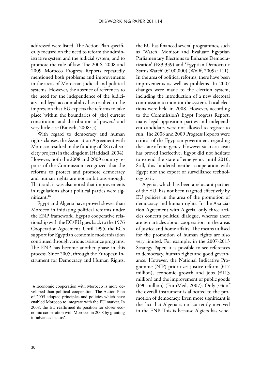addressed were listed. The Action Plan specifically focused on the need to reform the administrative system and the judicial system, and to promote the rule of law. The 2006, 2008 and 2009 Morocco Progress Reports repeatedly mentioned both problems and improvements in the areas of Moroccan judicial and political systems. However, the absence of references to the need for the independence of the judiciary and legal accountability has resulted in the impression that EU expects the reforms to take place 'within the boundaries of [the] current constitution and distribution of powers' and very little else (Kausch, 2008: 5).

With regard to democracy and human rights clauses, the Association Agreement with Morocco resulted in the funding of 48 civil-society projects in the kingdom (Haddadi, 2004)*.*  However, both the 2008 and 2009 country reports of the Commission recognized that the reforms to protect and promote democracy and human rights are not ambitious enough. That said, it was also noted that improvements in regulations about political parties were significant.16

Egypt and Algeria have proved slower than Morocco in initiating political reforms under the ENP framework. Egypt's cooperative relationship with the EC/EU goes back to the 1976 Cooperation Agreement. Until 1995, the EC's support for Egyptian economic modernization continued through various assistance programs. The ENP has become another phase in this process. Since 2005, through the European Instrument for Democracy and Human Rights,

the EU has financed several programmes, such as 'Watch, Monitor and Evaluate Egyptian Parliamentary Elections to Enhance Democratization' (€83,339) and 'Egyptian Democratic Status Watch' (€100,000) (Wolff, 2009a: 111). In the area of political reforms, there have been improvements as well as problems. In 2007 changes were made to the election system, including the introduction of a new electoral commission to monitor the system. Local elections were held in 2008. However, according to the Commission's Egypt Progress Report, many legal opposition parties and independent candidates were not allowed to register to run. The 2008 and 2009 Progress Reports were critical of the Egyptian government regarding the state of emergency. However such criticism has proved ineffective. Egypt did not hesitate to extend the state of emergency until 2010. Still, this hindered neither cooperation with Egypt nor the export of surveillance technology to it.

Algeria, which has been a reluctant partner of the EU, has not been targeted effectively by EU policies in the area of the promotion of democracy and human rights. In the Association Agreement with Algeria, only three articles concern political dialogue, whereas there are ten articles about cooperation in the areas of justice and home affairs. The means utilised for the promotion of human rights are also very limited. For example, in the 2007-2013 Strategy Paper, it is possible to see references to democracy, human rights and good governance. However, the National Indicative Programme (NIP) prioritizes justice reform  $(617)$ million), economic growth and jobs  $(E113)$ million) and the improvement of public goods (€90 million) (EuroMed, 2007). Only 7% of the overall instrument is allocated to the promotion of democracy. Even more significant is the fact that Algeria is not currently involved in the ENP. This is because Algiers has vehe-

<sup>16</sup> Economic cooperation with Morocco is more developed than political cooperation. The Action Plan of 2005 adopted principles and policies which have enabled Morocco to integrate with the EU market. In 2008, the EU reaffirmed its position for closer economic cooperation with Morocco in 2008 by granting it 'advanced status'.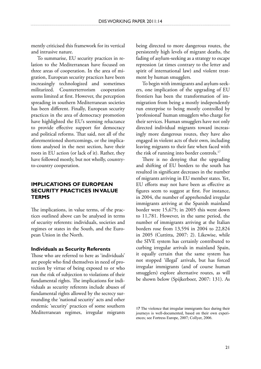mently criticised this framework for its vertical and intrusive nature.

To summarise, EU security practices in relation to the Mediterranean have focused on three areas of cooperation. In the area of migration, European security practices have been increasingly technologized and sometimes militarized. Counterterrorism cooperation seems limited at first. However, the perception spreading in southern Mediterranean societies has been different. Finally, European security practices in the area of democracy promotion have highlighted the EU's seeming reluctance to provide effective support for democracy and political reforms. That said, not all of the aforementioned shortcomings, or the implications analysed in the next section, have their roots in EU action (or lack of it). Rather, they have followed mostly, but not wholly, countryto-country cooperation.

## **Implications of European Security Practices in Value Terms**

The implications, in value terms, of the practices outlined above can be analysed in terms of security referents: individuals, societies and regimes or states in the South, and the European Union in the North.

### **Individuals as Security Referents**

Those who are referred to here as 'individuals' are people who find themselves in need of protection by virtue of being exposed to or who run the risk of subjection to violations of their fundamental rights. The implications for individuals as security referents include abuses of fundamental rights allowed by the secrecy surrounding the 'national security' acts and other endemic 'security' practices of some southern Mediterranean regimes, irregular migrants

being directed to more dangerous routes, the persistently high levels of migrant deaths, the fading of asylum-seeking as a strategy to escape repression (at times contrary to the letter and spirit of international law) and violent treatment by human smugglers.

To begin with immigrants and asylum-seekers, one implication of the upgrading of EU frontiers has been the transformation of immigration from being a mostly independently run enterprise to being mostly controlled by 'professional' human smugglers who charge for their services. Human smugglers have not only directed individual migrants toward increasingly more dangerous routes, they have also engaged in violent acts of their own, including leaving migrants to their fate when faced with the risk of running into border controls.<sup>17</sup>

There is no denying that the upgrading and shifting of EU borders to the south has resulted in significant decreases in the number of migrants arriving in EU member states. Yet, EU efforts may not have been as effective as figures seem to suggest at first. For instance, in 2004, the number of apprehended irregular immigrants arriving at the Spanish mainland border were 15,675; in 2005 this went down to 11,781. However, in the same period, the number of immigrants arriving at the Italian borders rose from 13,594 in 2004 to 22,824 in 2005 (Cuttitta, 2007: 2). Likewise, while the SIVE system has certainly contributed to curbing irregular arrivals in mainland Spain, it equally certain that the same system has not stopped 'illegal' arrivals, but has forced irregular immigrants (and of course human smugglers) explore alternative routes, as will be shown below (Spijkerboer, 2007: 131). As

<sup>17</sup> The violence that irregular immigrants face during their journeys is well-documented, based on their own experiences; see Fortress Europe, 2007; Collyer, 2006.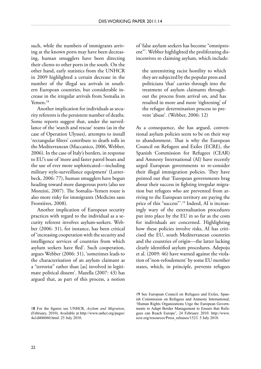such, while the numbers of immigrants arriving at the known ports may have been decreasing, human smugglers have been directing their clients to other ports in the south. On the other hand, early statistics from the UNHCR in 2009 highlighted a certain decrease in the number of the illegal sea arrivals in southern European countries, but considerable increase in the irregular arrivals from Somalia in Yemen.18

Another implication for individuals as security referents is the persistent number of deaths. Some reports suggest that, under the surveillance of the 'search and rescue' teams (as in the case of Operation Ulysses), attempts to install 'rectangular filters' contribute to death tolls in the Mediterranean (Maccanico, 2006, Webber, 2006). In the case of Italy's borders, in response to EU's use of 'more and faster patrol boats and the use of ever more sophisticated—including military style-surveillance equipment' (Lutterbeck, 2006: 77), human smugglers have begun heading toward more dangerous ports (also see Monzini, 2007). The Somalia–Yemen route is also more risky for immigrants (Medicins sans Frontières, 2008).

Another implication of European security practices with regard to the individual as a security referent involves asylum-seekers. Webber (2006: 31), for instance, has been critical of 'increasing cooperation with the security and intelligence services of countries from which asylum seekers have fled'. Such cooperation, argues Webber (2006: 31), 'sometimes leads to the characterisation of an asylum claimant as a "terrorist" rather than [as] involved in legitimate political dissent'. Mazella (2007: 43) has argued that, as part of this process, a notion of 'false asylum seekers has become "omnipresent"'. Webber highlighted the proliferating disincentives to claiming asylum, which include:

the unremitting racist hostility to which they are subjected by the popular press and politicians 'that' carries through into the treatment of asylum claimants throughout the process from arrival on, and has resulted in more and more 'tightening' of the refugee determination process to prevent 'abuse'. (Webber, 2006: 12)

As a consequence, she has argued, conventional asylum policies seem to be on their way to abandonment. That is why the European Council on Refugees and Exiles (ECRE), the Spanish Commission for Refugees (CEAR) and Amnesty International (AI) have recently urged European governments to re-consider their illegal immigration policies. They have pointed out that 'European governments brag about their success in fighting irregular migration but refugees who are prevented from arriving to the European territory are paying the price of this "success"'.<sup>19</sup> Indeed, AI is increasingly wary of the externalisation procedures put into place by the EU in so far as the costs for individuals are concerned. Highlighting how these policies involve risks, AI has criticised the EU, south Mediterranean countries and the countries of origin—the latter lacking clearly identified asylum procedures. Adepoju et al. (2009: 46) have warned against the violation of 'non-refoulement' by some EU member states, which, in principle, prevents refugees

<sup>19</sup> See European Council on Refugees and Exiles, Spanish Commission on Refugees and Amnesty International, 'Human Rights Organizations Urge the European Governments to Adapt Border Management to Ensure that Refugees can Reach Europe', 24 February 2010. http://www. ecre.org/resources/Press\_releases/1523. 5 July 2010.

<sup>18</sup> For the figures see UNHCR, *Asylum and Migration*, (February, 2010). Available at http://www.unhcr.org/pages/ 4a1d406060.html. 25 July 2010.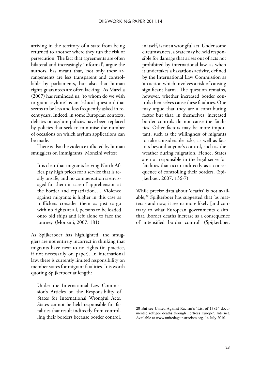arriving in the territory of a state from being returned to another where they run the risk of persecution. The fact that agreements are often bilateral and increasingly 'informal', argue the authors, has meant that, 'not only these arrangements are less transparent and controllable by parliaments, but also that human rights guarantees are often lacking'. As Mazella (2007) has reminded us, 'to whom do we wish to grant asylum?' is an 'ethical question' that seems to be less and less frequently asked in recent years. Indeed, in some European contexts, debates on asylum policies have been replaced by policies that seek to minimise the number of occasions on which asylum applications can be made.

There is also the violence inflicted by human smugglers on immigrants. Monzini writes:

It is clear that migrants leaving North Africa pay high prices for a service that is really unsafe, and no compensation is envisaged for them in case of apprehension at the border and repatriation…. Violence against migrants is higher in this case as traffickers consider them as just cargo with no rights at all, persons to be loaded onto old ships and left alone to face the journey. (Monzini, 2007: 181)

As Spijkerboer has highlighted, the smugglers are not entirely incorrect in thinking that migrants have next to no rights (in practice, if not necessarily on paper). In international law, there is currently limited responsibility on member states for migrant fatalities. It is worth quoting Spijkerboer at length:

Under the International Law Commission's Articles on the Responsibility of States for International Wrongful Acts, States cannot be held responsible for fatalities that result indirectly from controlling their borders because border control,

in itself, is not a wrongful act. Under some circumstances, a State may be held responsible for damage that arises out of acts not prohibited by international law, as when it undertakes a hazardous activity, defined by the International Law Commission as 'an action which involves a risk of causing significant harm'. The question remains, however, whether increased border controls themselves cause these fatalities. One may argue that they are a contributing factor but that, in themselves, increased border controls do not cause the fatalities. Other factors may be more important, such as the willingness of migrants to take considerable risks, as well as factors beyond anyone's control, such as the weather during migration. Hence, States are not responsible in the legal sense for fatalities that occur indirectly as a consequence of controlling their borders. (Spijkerboer, 2007: 136-7)

While precise data about 'deaths' is not available,20 Spijkerboer has suggested that 'as matters stand now, it seems more likely [and contrary to what European governments claim] that...border deaths increase as a consequence of intensified border control' (Spijkerboer,

20 But see United Against Racism's 'List of 13824 documented refugee deaths through Fortress Europe'. Internet. Available at www.unitedagainstracism.org. 14 July 2010.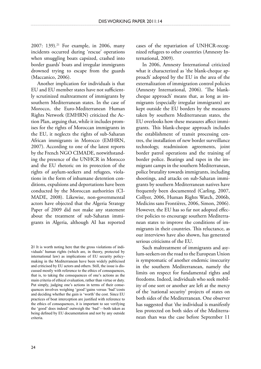2007: 139).<sup>21</sup> For example, in 2006, many incidents occurred during 'rescue' operations when smuggling boats capsized, crashed into border guards' boats and irregular immigrants drowned trying to escape from the guards (Maccanico, 2006).

Another implication for individuals is that EU and EU member states have not sufficiently scrutinized maltreatment of immigrants by southern Mediterranean states. In the case of Morocco, the Euro-Mediterranean Human Rights Network (EMHRN) criticized the Action Plan, arguing that, while it includes promises for the rights of Moroccan immigrants in the EU, it neglects the rights of sub-Saharan African immigrants in Morocco (EMHRN, 2007). According to one of the latest reports by the French NGO CIMADE, notwithstanding the presence of the UNHCR in Morocco and the EU rhetoric on its protection of the rights of asylum-seekers and refugees, violations in the form of inhumane detention conditions, expulsions and deportations have been conducted by the Moroccan authorities (CI-MADE, 2008). Likewise, non-governmental actors have objected that the Algeria Strategy Paper of 2009 did not make any statement about the treatment of sub-Saharan immigrants in Algeria, although AI has reported

cases of the repatriation of UNHCR-recognized refugees to other countries (Amnesty International, 2009).

In 2006, Amnesty International criticized what it characterized as 'the blank-cheque approach' adopted by the EU in the area of the externalization of immigration control policies (Amnesty International, 2006). 'The blankcheque approach' means that, as long as immigrants (especially irregular immigrants) are kept outside the EU borders by the measures taken by southern Mediterranean states, the EU overlooks how these measures affect immigrants. This blank-cheque approach includes the establishment of transit processing centres, the installation of new border surveillance technology, readmission agreements, joint border patrol operations and the training of border police. Beatings and rapes in the immigrant camps in the southern Mediterranean, police brutality towards immigrants, including shootings, and attacks on sub-Saharan immigrants by southern Mediterranean natives have frequently been documented (Carling, 2007, Collyer, 2006, Human Rights Watch, 2006b, Medicins sans Frontières, 2006, Simon, 2006). However, the EU has so far not adopted effective policies to encourage southern Mediterranean states to improve the conditions of immigrants in their countries. This reluctance, as our interviews have also shown, has generated serious criticisms of the EU.

Such maltreatment of immigrants and asylum-seekers on the road to the European Union is symptomatic of another endemic insecurity in the southern Mediterranean, namely the limits on respect for fundamental rights and freedoms. Indeed, individuals who seek mobility of one sort or another are left at the mercy of the 'national security' projects of states on both sides of the Mediterranean. One observer has suggested that 'the individual is manifestly less protected on both sides of the Mediterranean than was the case before September 11

<sup>21</sup> It is worth noting here that the gross violations of individuals' human rights (which are, in theory, protected by international law) as implications of EU security policymaking in the Mediterranean have been widely publicised and criticised by EU actors and others. Still, the issue is discussed mostly with reference to the ethics of consequences, that is, to taking the consequences of one's actions as the main criteria of ethical evaluation, rather than virtue or duty. Put simply, judging one's actions in terms of their consequences involves weighing 'good'/gains versus 'bad'/costs and deciding whether the gain is 'worth' the cost. Since EU practices of boat interception are justified with reference to the ethics of consequences, it is important to see verifying the 'good' does indeed' outweigh the 'bad'—both taken as being defined by EU documentation and not by any outside criteria.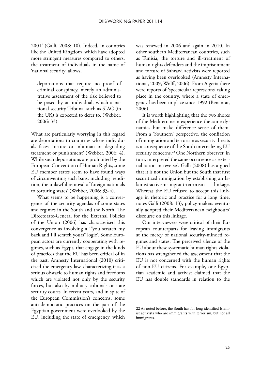2001' (Galli, 2008: 10). Indeed, in countries like the United Kingdom, which have adopted more stringent measures compared to others, the treatment of individuals in the name of 'national security' allows,

deportations that require no proof of criminal conspiracy, merely an administrative assessment of the risk believed to be posed by an individual, which a national security Tribunal such as SIAC (in the UK) is expected to defer to. (Webber, 2006: 33)

What are particularly worrying in this regard are deportations to countries where individuals faces 'torture or inhuman or degrading treatment or punishment' (Webber, 2006: 4). While such deportations are prohibited by the European Convention of Human Rights, some EU member states seem to have found ways of circumventing such bans, including 'rendition, the unlawful removal of foreign nationals to torturing states' (Webber, 2006: 33-4).

What seems to be happening is a convergence of the security agendas of some states and regimes in the South and the North. The Directorate-General for the External Policies of the Union (2006) has characterised this convergence as involving a '"you scratch my back and I'll scratch yours" logic'. Some European actors are currently cooperating with regimes, such as Egypt, that engage in the kinds of practices that the EU has been critical of in the past. Amnesty International (2010) criticized the emergency law, characterizing it as a serious obstacle to human rights and freedoms which are violated not only by the security forces, but also by military tribunals or state security courts. In recent years, and in spite of the European Commission's concerns, some anti-democratic practices on the part of the Egyptian government were overlooked by the EU, including the state of emergency, which

was renewed in 2006 and again in 2010. In other southern Mediterranean countries, such as Tunisia, the torture and ill-treatment of human rights defenders and the imprisonment and torture of Sahrawi activists were reported as having been overlooked (Amnesty International, 2009, Wolff, 2006). From Algeria there were reports of 'spectacular repressions' taking place in the country, where a state of emergency has been in place since 1992 (Benantar, 2006).

It is worth highlighting that the two shores of the Mediterranean experience the same dynamics but make difference sense of them. From a 'Southern' perspective, the conflation of immigration and terrorism as security threats is a consequence of the South internalizing EU security concerns.<sup>22</sup> One Northern observer, in turn, interpreted the same occurrence as 'externalisation in reverse'. Galli (2008) has argued that it is not the Union but the South that first securitized immigration by establishing an Islamist-activism-migrant-terrorism linkage. Whereas the EU refused to accept this linkage in rhetoric and practice for a long time, notes Galli (2008: 13), policy-makers eventually adopted their Mediterranean neighbours' discourse on this linkage.

Our interviewees were critical of their European counterparts for leaving immigrants at the mercy of national security-minded regimes and states. The perceived silence of the EU about these systematic human rights violations has strengthened the assessment that the EU is not concerned with the human rights of non-EU citizens. For example, one Egyptian academic and activist claimed that the EU has double standards in relation to the

<sup>22</sup> As noted before, the South has for long identified Islamist activists who are immigrants with terrorism, but not all immigrants.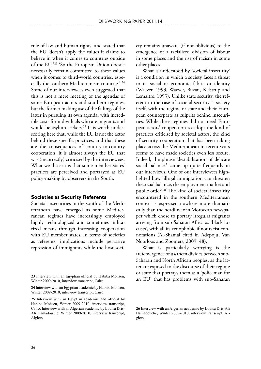rule of law and human rights, and stated that the EU 'doesn't apply the values it claims to believe in when it comes to countries outside of the EU.'23 'So the European Union doesn't necessarily remain committed to these values when it comes to third-world countries, especially the southern Mediterranean countries'.24 Some of our interviewees even suggested that this is not a mere meeting of the agendas of some European actors and southern regimes, but the former making use of the failings of the latter in pursuing its own agenda, with incredible costs for individuals who are migrants and would-be asylum-seekers.25 It is worth underscoring here that, while the EU is not the actor behind these specific practices, and that these are the consequences of country-to-country cooperation, it is almost always the EU that was (incorrectly) criticised by the interviewees. What we discern is that some member states' practices are perceived and portrayed as EU policy-making by observers in the South.

#### **Societies as Security Referents**

Societal insecurities in the south of the Mediterranean have emerged as some Mediterranean regimes have increasingly employed highly technologized and sometimes militarized means through increasing cooperation with EU member states. In terms of societies as referents, implications include pervasive repression of immigrants while the host society remains unaware (if not oblivious) to the emergence of a racialized division of labour in some places and the rise of racism in some other places.

What is understood by 'societal insecurity' is a condition in which a society faces a threat to its social or economic fabric or identity (Waever, 1993, Waever, Buzan, Kelstrup and Lemaitre, 1993). Unlike state security, the referent in the case of societal security is society itself, with the regime or state and their European counterparts as culprits behind insecurities. While these regimes did not need European actors' cooperation to adopt the kind of practices criticised by societal actors, the kind of security cooperation that has been taking place across the Mediterranean in recent years seems to have made societies even less secure. Indeed, the phrase 'destabilisation of delicate social balances' came up quite frequently in our interviews. One of our interviewees highlighted how 'illegal immigration can threaten the social balance, the employment market and public order'.26 The kind of societal insecurity encountered in the southern Mediterranean context is expressed nowhere more dramatically than the headline of a Moroccan newspaper which chose to portray irregular migrants arriving from sub-Saharan Africa as 'black locusts', with all its xenophobic if not racist connotations (Al-Shamal cited in Adepoju, Van Noorloos and Zoomers, 2009: 48).

What is particularly worrying is the (re)emergence of us/them divides between sub-Saharan and North African peoples, as the latter are exposed to the discourse of their regime or state that portrays them as a 'policeman for an EU' that has problems with sub-Saharan

<sup>23</sup> Interview with an Egyptian official by Habiba Mohsen, Winter 2009-2010, interview transcript, Cairo.

<sup>24</sup> Interview with an Egyptian academic by Habiba Mohsen, Winter 2009-2010, interview transcript, Cairo.

<sup>25</sup> Interview with an Egyptian academic and official by Habiba Mohsen, Winter 2009-2010, interview transcript, Cairo; Interview with an Algerian academic by Louisa Dris-Ali Hamadouche, Winter 2009-2010, interview transcript, Algiers.

<sup>26</sup> Interview with an Algerian academic by Louisa Dris-Ali Hamadouche, Winter 2009-2010, interview transcript, Algiers.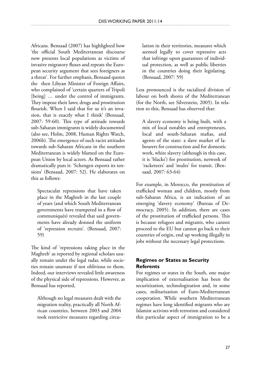Africans. Bensaad (2007) has highlighted how 'the official South Mediterranean discourse now presents local populations as victims of invasive migratory fluxes and repeats the European security argument that sees foreigners as a threat'. For further emphasis, Bensaad quotes the then Libyan Minister of Foreign Affairs, who complained of 'certain quarters of Tripoli [being] ... under the control of immigrants. They impose their laws; drugs and prostitution flourish. When I said that for us it's an invasion, that is exactly what I think' (Bensaad, 2007: 59-60). This type of attitude towards sub-Saharan immigrants is widely documented (also see, Holm, 2008, Human Rights Watch, 2006b). The emergence of such racist attitudes towards sub-Saharan Africans in the southern Mediterranean is widely blamed on the European Union by local actors. As Bensaad rather dramatically puts it: 'Schengen exports its tensions' (Bensaad, 2007: 52). He elaborates on this as follows:

Spectacular repressions that have taken place in the Maghreb in the last couple of years (and which South Mediterranean governments have trumpeted in a flow of communiqués) revealed that said governments have already donned the uniform of 'repression recruits'. (Bensaad, 2007: 59)

The kind of 'repressions taking place in the Maghreb' as reported by regional scholars usually remain under the legal radar, while societies remain unaware if not oblivious to them. Indeed, our interviews revealed little awareness of the physical side of repressions. However, as Bensaad has reported,

Although no legal measures dealt with the migration reality, practically all North African countries, between 2003 and 2004 took restrictive measures regarding circulation in their territories, measures which seemed legally to cover repressive acts that infringe upon guarantees of individual protection, as well as public liberties in the countries doing their legislating. (Bensaad, 2007: 59)

Less pronounced is the racialized division of labour on both shores of the Mediterranean (for the North, see Silverstein, 2005). In relation to this, Bensaad has observed that:

A slavery economy is being built, with a mix of local notables and entrepreneurs, local and south-Saharan mafias, and agents of the state: a slave market of labourers for construction and for domestic work, white slavery (although in this case, it is 'blacks') for prostitution, network of 'racketeers' and 'mules' for transit. (Bensaad, 2007: 63-64)

For example, in Morocco, the prostitution of trafficked woman and children, mostly from sub-Saharan Africa, is an indication of an emerging 'slavery economy' (Bureau of Democracy, 2005). In addition, there are cases of the prostitution of trafficked persons. This is because refugees and migrants, who cannot proceed to the EU but cannot go back to their countries of origin, end up working illegally in jobs without the necessary legal protections.

## **Regimes or States as Security Referents**

For regimes or states in the South, one major implication of externalisation has been the securitization, technologization and, in some cases, militarization of Euro-Mediterranean cooperation. While southern Mediterranean regimes have long identified migrants who are Islamist activists with terrorism and considered this particular aspect of immigration to be a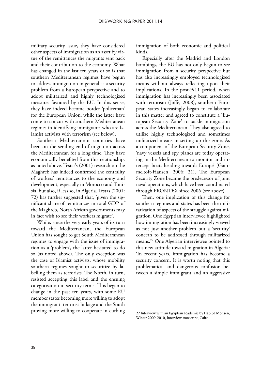military security issue, they have considered other aspects of immigration as an asset by virtue of the remittances the migrants sent back and their contribution to the economy. What has changed in the last ten years or so is that southern Mediterranean regimes have begun to address immigration in general as a security problem from a European perspective and to adopt militarized and highly technologized measures favoured by the EU. In this sense, they have indeed become border 'policeman' for the European Union, while the latter have come to concur with southern Mediterranean regimes in identifying immigrants who are Islamist activists with terrorism (see below).

Southern Mediterranean countries have been on the sending end of migration across the Mediterranean for a long time. They have economically benefited from this relationship, as noted above. Testas's (2001) research on the Maghreb has indeed confirmed the centrality of workers' remittances to the economy and development, especially in Morocco and Tunisia, but also, if less so, in Algeria. Testas (2001: 72) has further suggested that, 'given the significant share of remittances in total GDP of the Maghreb, North African governments may in fact wish to see their workers migrate'.

While, since the very early years of its turn toward the Mediterranean, the European Union has sought to get South Mediterranean regimes to engage with the issue of immigration as a 'problem', the latter hesitated to do so (as noted above). The only exception was the case of Islamist activists, whose mobility southern regimes sought to securitize by labelling them as terrorists. The North, in turn, resisted accepting this label and the ensuing categorisation in security terms. This began to change in the past ten years, with some EU member states becoming more willing to adopt the immigrant–terrorist linkage and the South proving more willing to cooperate in curbing immigration of both economic and political kinds.

Especially after the Madrid and London bombings, the EU has not only begun to see immigration from a security perspective but has also increasingly employed technologized means without always reflecting upon their implications. In the post-9/11 period, when immigration has increasingly been associated with terrorism (Joffé, 2008), southern European states increasingly began to collaborate in this matter and agreed to constitute a 'European Security Zone' to tackle immigration across the Mediterranean. They also agreed to utilize highly technologized and sometimes militarized means in setting up this zone. As a component of the European Security Zone, 'navy vessels and spy planes are today operating in the Mediterranean to monitor and intercept boats heading towards Europe' (Gammeltoft-Hansen, 2006: 21). The European Security Zone became the predecessor of joint naval operations, which have been coordinated through FRONTEX since 2006 (see above).

Then, one implication of this change for southern regimes and states has been the militarization of aspects of the struggle against migration. One Egyptian interviewee highlighted how immigration has been increasingly viewed as not just another problem but a 'security' concern to be addressed through militarized means.27 One Algerian interviewee pointed to this new attitude toward migration in Algeria: 'In recent years, immigration has become a security concern. It is worth noting that this problematical and dangerous confusion between a simple immigrant and an aggressive

<sup>27</sup> Interview with an Egyptian academic by Habiba Mohsen, Winter 2009-2010, interview transcript, Cairo.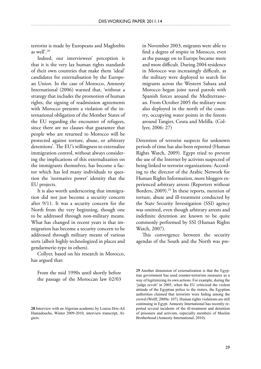terrorist is made by Europeans and Maghrebis as well'.28

Indeed, our interviewees' perception is that it is the very lax human rights standards of their own countries that make them 'ideal' candidates for externalisation by the European Union. In the case of Morocco, Amnesty International (2006) warned that, 'without a strategy that includes the promotion of human rights, the signing of readmission agreements with Morocco presents a violation of the international obligation of the Member States of the EU regarding the encounter of refugees, since there are no clauses that guarantee that people who are returned to Morocco will be protected against torture, abuse, or arbitrary detentions'. The EU's willingness to externalize immigration control, without always considering the implications of this externalization on the immigrants themselves, has become a factor which has led many individuals to question the 'normative power' identity that the EU projects.

It is also worth underscoring that immigration did not just become a security concern after 9/11. It was a security concern for the North from the very beginning, though one to be addressed through non-military means. What has changed in recent years is that immigration has become a security concern to be addressed through military means of various sorts (albeit highly technologized in places and gendarmerie-type in others).

Collyer, based on his research in Morocco, has argued that:

From the mid 1990s until shortly before the passage of the Moroccan law 02/03

in November 2003, migrants were able to find a degree of respite in Morocco, even as the passage on to Europe became more and more difficult. During 2004 residence in Morocco was increasingly difficult, as the military were deployed to search for migrants across the Western Sahara and Morocco began joint naval patrols with Spanish forces around the Mediterranean. From October 2005 the military were also deployed in the north of the country, occupying water points in the forests around Tangier, Ceuta and Melilla. (Collyer, 2006: 27)

Detention of terrorist suspects for unknown periods of time has also been reported (Human Rights Watch, 2009). Egypt tried to prevent the use of the Internet by activists suspected of being linked to terrorist organizations. According to the director of the Arabic Network for Human Rights Information, more bloggers experienced arbitrary arrests (Reporters without Borders, 2009).<sup>29</sup> In these reports, mention of torture, abuse and ill-treatment conducted by the State Security Investigation (SSI) agency was omitted, even though arbitrary arrests and indefinite detention are known to be quite commonly performed by SSI (Human Rights Watch, 2007).

This convergence between the security agendas of the South and the North was pre-

<sup>28</sup> Interview with an Algerian academic by Louisa Dris-Ali Hamadouche, Winter 2009-2010, interview transcript, Algiers.

<sup>29</sup> Another dimension of externalization is that the Egyptian government has used counter-terrorism measures as a way of legitimizing its own actions. For example, during the 'judge revolt' in 2005, when the EU criticized the violent attitude of the Egyptian police to the rioters, the Egyptian authorities claimed that terrorists were hiding among the crowd (Wolff, 2009a: 107). Human rights violations are still continuing in Egypt. Amnesty International has recently reported several incidents of the ill-treatment and detention of prisoners and activists, especially members of Muslim Brotherhood (Amnesty International, 2010).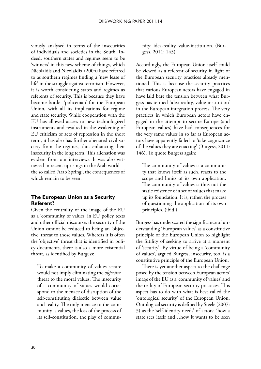viously analysed in terms of the insecurities of individuals and societies in the South. Indeed, southern states and regimes seem to be 'winners' in this new scheme of things, which Nicolaidis and Nicolaidis (2004) have referred to as southern regimes finding a 'new lease of life' in the struggle against terrorism. However, it is worth considering states and regimes as referents of security. This is because they have become border 'policeman' for the European Union, with all its implications for regime and state security. While cooperation with the EU has allowed access to new technologized instruments and resulted in the weakening of EU criticism of acts of repression in the short term, it has also has further alienated civil society from the regimes, thus enhancing their insecurity in the long term. This alienation was evident from our interviews. It was also witnessed in recent uprisings in the Arab world the so called 'Arab Spring', the consequences of which remain to be seen.

## **The European Union as a Security Referent?**

Given the centrality of the image of the EU as a 'community of values' in EU policy texts and other official discourse, the security of the Union cannot be reduced to being an 'objective' threat to those values. Whereas it is often the 'objective' threat that is identified in policy documents, there is also a more existential threat, as identified by Burgess:

To make a community of values secure would not imply eliminating the *objective* threat to the moral values. The insecurity of a community of values would correspond to the menace of disruption of the self-constituting dialectic between value and reality. The only menace to the community is values, the loss of the process of its self-constitution, the play of commu-

nity: idea-reality, value-institution. (Burgess, 2011: 145)

Accordingly, the European Union itself could be viewed as a referent of security in light of the European security practices already mentioned. This is because the security practices that various European actors have engaged in have laid bare the tension between what Burgess has termed 'idea-reality, value-institution' in the European integration process. The very practices in which European actors have engaged in the attempt to secure Europe (and European values) have had consequences for the very same values in so far as European actors have apparently failed to 'take cognizance of the values they are enacting' (Burgess, 2011: 146). To quote Burgess again:

The community of values is a community that knows itself as such, reacts to the scope and limits of its own application. The community of values is thus not the static existence of a set of values that make up its foundation. It is, rather, the process of questioning the application of its own principles. (ibid.)

Burgess has underscored the significance of understanding 'European values' as a constitutive principle of the European Union to highlight the futility of seeking to arrive at a moment of 'security'. By virtue of being a 'community of values', argued Burgess, insecurity, too, is a constitutive principle of the European Union.

There is yet another aspect to the challenge posed by the tension between European actors' image of the EU as a 'community of values' and the reality of European security practices. This aspect has to do with what is best called the 'ontological security' of the European Union. Ontological security is defined by Steele (2007: 3) as the 'self-identity needs' of actors: 'how a state sees itself and…how it wants to be seen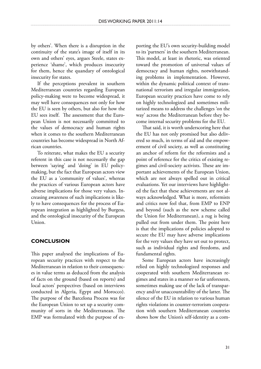by others'. When there is a disruption in the continuity of the state's image of itself in its own and others' eyes, argues Steele, states experience 'shame', which produces insecurity for them, hence the quandary of ontological insecurity for states.

If the perceptions prevalent in southern Mediterranean countries regarding European policy-making were to become widespread, it may well have consequences not only for how the EU is seen by others, but also for how the EU sees itself. The assessment that the European Union is not necessarily committed to the values of democracy and human rights when it comes to the southern Mediterranean countries has become widespread in North African countries.

To reiterate, what makes the EU a security referent in this case is not necessarily the gap between 'saying' and 'doing' in EU policymaking, but the fact that European actors view the EU as a 'community of values', whereas the practices of various European actors have adverse implications for those very values. Increasing awareness of such implications is likely to have consequences for the process of European integration as highlighted by Burgess, and the ontological insecurity of the European Union.

## **Conclusion**

This paper analysed the implications of European security practices with respect to the Mediterranean in relation to their consequences in value terms as deduced from the analysis of facts on the ground (based on reports) and local actors' perspectives (based on interviews conducted in Algeria, Egypt and Morocco). The purpose of the Barcelona Process was for the European Union to set up a security community of sorts in the Mediterranean. The EMP was formulated with the purpose of exporting the EU's own security-building model to its 'partners' in the southern Mediterranean. This model, at least in rhetoric, was oriented toward the promotion of universal values of democracy and human rights, notwithstanding problems in implementation. However, within the dynamic political context of transnational terrorism and irregular immigration, European security practices have come to rely on highly technologized and sometimes militarized means to address the challenges 'on the way' across the Mediterranean before they become internal security problems for the EU.

That said, it is worth underscoring here that the EU has not only promised but also delivered so much, in terms of aid and the empowerment of civil society, as well as constituting an anchor of reform for the reformists and a point of reference for the critics of existing regimes and civil-society activists. These are important achievements of the European Union, which are not always spelled out in critical evaluations. Yet our interviews have highlighted the fact that these achievements are not always acknowledged. What is more, reformists and critics now feel that, from EMP to ENP and beyond (such as the new scheme called the Union for Mediterranean), a rug is being pulled out from under them. The point here is that the implications of policies adopted to secure the EU may have adverse implications for the very values they have set out to protect, such as individual rights and freedoms, and fundamental rights.

Some European actors have increasingly relied on highly technologized responses and cooperated with southern Mediterranean regimes and states in a manner so far unforeseen, sometimes making use of the lack of transparency and/or unaccountability of the latter. The silence of the EU in relation to various human rights violations in counter-terrorism cooperation with southern Mediterranean countries shows how the Union's self-identity as a com-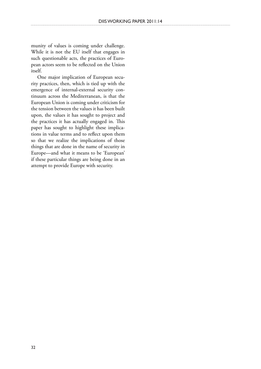munity of values is coming under challenge. While it is not the EU itself that engages in such questionable acts, the practices of European actors seem to be reflected on the Union itself.

One major implication of European security practices, then, which is tied up with the emergence of internal-external security continuum across the Mediterranean, is that the European Union is coming under criticism for the tension between the values it has been built upon, the values it has sought to project and the practices it has actually engaged in. This paper has sought to highlight these implications in value terms and to reflect upon them so that we realize the implications of those things that are done in the name of security in Europe—and what it means to be 'European' if these particular things are being done in an attempt to provide Europe with security.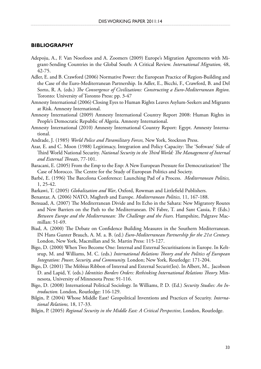#### **Bibliography**

- Adepoju, A., F. Van Noorloos and A. Zoomers (2009) Europe's Migration Agreements with Migrant-Sending Countries in the Global South: A Critical Review. *International Migration,* 48, 42-75.
- Adler, E. and B. Crawford (2006) Normative Power: the European Practice of Region-Building and the Case of the Euro-Mediterranean Partnership. In Adler, E., Bicchi, F., Crawford, B. and Del Sorto, R. A. (eds.) *The Convergence of Civilizations: Constructing a Euro-Mediterranean Region*. Toronto: University of Toronto Press: pp. 3-47
- Amnesty International (2006) Closing Eyes to Human Rights Leaves Asylum-Seekers and Migrants at Risk. Amnesty International.
- Amnesty International (2009) Amnesty International Country Report 2008: Human Rights in People's Democratic Republic of Algeria. Amnesty International.
- Amnesty International (2010) Amnesty International Country Report: Egypt. Amnesty International.
- Andrade, J. (1985) *World Police and Paramilitary Forces,* New York, Stockton Press.
- Azar, E. and C. Moon (1988) Legitimacy, Integration and Policy Capacity: The 'Software' Side of Third World National Security. *National Security in the Third World: The Management of Internal and External Threats*, 77-101.
- Baracani, E. (2005) From the Emp to the Enp: A New European Pressure for Democratization? The Case of Morocco. The Centre for the Study of European Politics and Society.
- Barbé, E. (1996) The Barcelona Conference: Launching Pad of a Process. *Mediterranean Politics,* 1, 25-42.
- Barkawi, T. (2005) *Globalization and War*, Oxford, Rowman and Littlefield Publishers.
- Benantar, A. (2006) NATO, Maghreb and Europe. *Mediterranean Politics,* 11, 167-188.
- Bensaad, A. (2007) The Mediterranean Divide and Its Echo in the Sahara: New Migratory Routes and New Barriers on the Path to the Mediterranean. IN Fabre, T. and Sant Cassia, P. (Eds.) *Between Europe and the Mediterranean: The Challenge and the Fears.* Hampshire, Palgrave Macmillan: 51-69.
- Biad, A. (2000) The Debate on Confidence Building Measures in the Southern Mediterranean. IN Hans Gunter Brauch, A. M. a. B. (ed.) *Euro-Mediterranean Partnership for the 21st Century.* London, New York, Macmillan and St. Martin Press: 115-127.
- Bigo, D. (2000) When Two Become One: Internal and External Securitisations in Europe. In Keltsrup, M. and Williams, M. C. (eds.) *International Relations Theory and the Politics of European Integration: Power, Security, and Community.* London; New York, Routledge: 171-204.
- Bigo, D. (2001) The Möbius Ribbon of Internal and External Securit(Ies). In Albert, M., Jacobson D. and Lapid, Y. (eds.) *Identities Borders Orders: Rethinking International Relations Theory.* Minnesota, University of Minnesota Press: 91-116.
- Bigo, D. (2008) International Political Sociology. In Williams, P. D. (Ed.) *Security Studies: An Introduction.* London, Routledge: 116-129.
- Bilgin, P. (2004) Whose Middle East? Geopolitical Inventions and Practices of Security. *International Relations,* 18, 17-33.
- Bilgin, P. (2005) *Regional Security in the Middle East: A Critical Perspective*, London, Routledge.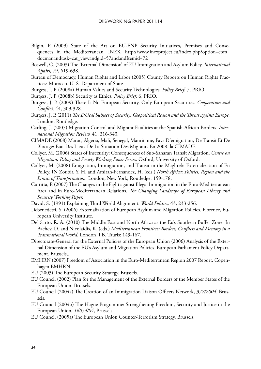- Bilgin, P. (2009) State of the Art on EU-ENP Security Initiatives, Premises and Consequences in the Mediterranean. INEX. http://www.inexproject.eu/index.php?option=com\_ docmanandtask=cat\_viewandgid=57andandItemid=72
- Boswell, C. (2003) The 'External Dimension' of EU Immigration and Asylum Policy. *International Affairs,* 79, 619-638.
- Bureau of Democracy, Human Rights and Labor (2005) County Reports on Human Rights Practices: Morocco. U. S. Department of State.
- Burgess, J. P. (2008a) Human Values and Security Technologies. *Policy Brief*, 7, PRIO.
- Burgess, J. P. (2008b) Security as Ethics. *Policy Brief,* 6, PRIO.
- Burgess, J. P. (2009) There Is No European Security, Only European Securities. *Cooperation and Conflict,* 44, 309-328.
- Burgess, J. P. (2011) *The Ethical Subject of Security: Geopolitical Reason and the Threat against Europe,*  London, Routledge.
- Carling, J. (2007) Migration Control and Migrant Fatalities at the Spanish-African Borders. *International Migration Review,* 41, 316-343.
- CIMADE (2008) Maroc, Algeria, Mali, Senegal, Mauritanie, Pays D'emigration, De Transit Et De Blocage: Etat Des Lieux De La Situation Des Migrants En 2008. la CIMADE.
- Collyer, M. (2006) States of Insecurity: Consequences of Sub-Saharan Transit Migration. *Centre on Migration, Policy and Society Working Paper Series.* Oxford, University of Oxford.
- Collyer, M. (2008) Emigration, Immigration, and Transit in the Maghreb: Externalization of Eu Policy. IN Zoubir, Y. H. and Amirah-Fernandez, H. (eds.) *North Africa: Politics, Region and the Limits of Transformation.* London, New York, Routledge: 159-178.
- Cuttitta, P. (2007) The Changes in the Fight against Illegal Immigration in the Euro-Mediterranean Area and in Euro-Mediterranean Relations. *The Changing Landscape of European Liberty and Security Working Paper.*
- David, S. (1991) Explaining Third World Alignment. *World Politics,* 43, 233-256.
- Debenedetti, S. (2006) Externalization of European Asylum and Migration Policies. Florence, European University Institute.
- Del Sarto, R. A. (2010) The Middle East and North Africa as the Eu's Southern Buffer Zone. In Bachev, D. and Nicolaidis, K. (eds.) *Mediterranean Frontiers: Borders, Conflicts and Memory in a Transnational World.* London, I.B. Tauris: 149-167.
- Directorate-General for the External Policies of the European Union (2006) Analysis of the External Dimension of the EU's Asylum and Migration Policies. European Parliament Policy Department. Brussels,.
- EMHRN (2007) Freedom of Association in the Euro-Mediterranean Region 2007 Report. Copenhagen EMHRN.
- EU (2003) The European Security Strategy. Brussels.
- EU Council (2002) Plan for the Management of the External Borders of the Member States of the European Union. Brussels.
- EU Council (2004a) The Creation of an Immigration Liaison Officers Network, *377/2004*. Brussels.
- EU Council (2004b) The Hague Programme: Strengthening Freedom, Security and Justice in the European Union, *16054/04*, Brussels.
- EU Council (2005a) The European Union Counter-Terrorism Strategy. Brussels.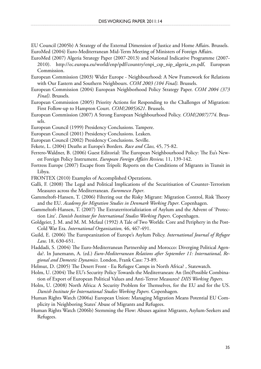EU Council (2005b) A Strategy of the External Dimension of Justice and Home Affairs. Brussels. EuroMed (2004) Euro-Mediterranean Mid-Term Meeting of Ministers of Foreign Affairs.

- EuroMed (2007) Algeria Strategy Paper (2007-2013) and National Indicative Programme (2007- 2010). http://ec.europa.eu/world/enp/pdf/country/enpi\_csp\_nip\_algeria\_en.pdf, European Commission.
- European Commission (2003) Wider Europe Neighbourhood: A New Framework for Relations with Our Eastern and Southern Neighbours. *COM 2003 (104 Final).* Brussels.
- European Commission (2004) European Neighborhood Policy Strategy Paper. *COM 2004 (373 Final)*. Brussels.
- European Commission (2005) Priority Actions for Responding to the Challenges of Migration: First Follow-up to Hampton Court. *COM(2005)621*. Brussels.
- European Commission (2007) A Strong European Neighbourhood Policy. *COM(2007)774*. Brussels.
- European Council (1999) Presidency Conclusions. Tampere.
- European Council (2001) Presidency Conclusions. Leaken.
- European Council (2002) Presidency Conclusions. Seville.
- Fekete, L. (2004) Deaths at Europe's Borders. *Race and Class,* 45, 75-82.
- Ferrero-Waldner, B. (2006) Guest Editorial: The European Neighbourhood Policy: The Eu's Newest Foreign Policy Instrument. *European Foreign Affairs Review,* 11, 139-142.
- Fortress Europe (2007) Escape from Tripoli: Reports on the Conditions of Migrants in Transit in Libya.
- FRONTEX (2010) Examples of Accomplished Operations.
- Galli, F. (2008) The Legal and Political Implications of the Securitisation of Counter-Terrorism Measures across the Mediterranean. *Euromesco Paper*.
- Gammeltoft-Hansen, T. (2006) Filtering out the Risky Migrant: Migration Control, Risk Theory and the EU. *Academy for Migration Studies in Denmark Working Paper*. Copenhagen.
- Gammeltoft-Hansen, T. (2007) The Extraterritorializiation of Asylum and the Advent of 'Protection Lite'. *Danish Institute for International Studies Working Papers*. Copenhagen.
- Goldgeier, J. M. and M. M. Mcfaul (1992) A Tale of Two Worlds: Core and Periphery in the Post-Cold War Era. *International Organization,* 46, 467-491.
- Guild, E. (2006) The Europeanization of Europe's Asylum Policy. *International Journal of Refugee Law,* 18, 630-651.
- Haddadi, S. (2004) The Euro-Mediterranean Partnership and Morocco: Diverging Political Agenda?. In Junemann, A. (ed.) *Euro-Mediterranean Relations after September 11: International, Regional and Domestic Dynamics.* London, Frank Cass: 73-89.
- Helmut, D. (2005) The Desert Front Eu Refugee Camps in North Africa? , Statewatch.
- Holm, U. (2004) The EU's Security Policy Towards the Mediterranean: An (Im)Possible Combination of Export of European Political Values and Anti-Terror Measures? *DIIS Working Papers.*
- Holm, U. (2008) North Africa: A Security Problem for Themselves, for the EU and for the US. *Danish Institute for International Studies Working Papers.* Copenhagen.
- Human Rights Watch (2006a) European Union: Managing Migration Means Potential EU Complicity in Neighboring States' Abuse of Migrants and Refugees.
- Human Rights Watch (2006b) Stemming the Flow: Abuses against Migrants, Asylum-Seekers and Refugees.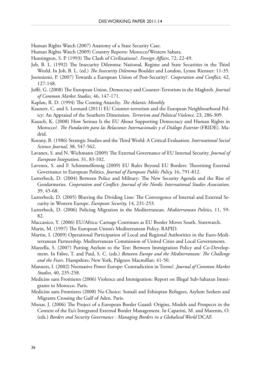Human Rights Watch (2007) Anatomy of a State Security Case.

- Human Rights Watch (2009) Country Reports: Morocco/Western Sahara.
- Huntington, S. P. (1993) The Clash of Civilizations?. *Foreign Affairs,* 72, 22-49.
- Job, B. L. (1992) The Insecurity Dilemma: National, Regime and State Securities in the Third World. In Job, B. L. (ed.) *The Insecurity Dilemma* Boulder and London, Lynne Rienner: 11-35.
- Joenniemi, P. (2007) Towards a European Union of Post-Security?. *Cooperation and Conflict,* 42, 127-148.
- Joffé, G. (2008) The European Union, Democracy and Counter-Terrorism in the Maghreb. *Journal of Common Market Studies,* 46, 147-171.
- Kaplan, R. D. (1994) The Coming Anarchy. *The Atlantic Monthly.*
- Kaunert, C. and S. Leonard (2011) EU Counter-terrorism and the European Neighbourhood Policy: An Appraisal of the Southern Dimension. *Terrorism and Political Violence,* 23, 286-309.
- Kausch, K. (2008) How Serious Is the EU About Supporting Democracy and Human Rights in Morocco?. *The Fundación para las Relaciones Internacionales y el Diálogo Exterior* (FRIDE). Madrid.
- Korany, B. (1986) Strategic Studies and the Third World: A Critical Evaluation. *International Social Science Journal,* 38, 547-562.
- Lavanex, S. and N. Wichmann (2009) The External Governance of EU Internal Security. *Journal of European Integration,* 31, 83-102.
- Lavenex, S. and F. Schimmelfennig (2009) EU Rules Beyond EU Borders: Theorizing External Governance in European Politics. *Journal of European Public Policy,* 16, 791-812.
- Lutterbeck, D. (2004) Between Police and Military: The New Security Agenda and the Rise of Gendarmeries. *Cooperation and Conflict: Journal of the Nordic International Studies Association,* 39, 45-68.
- Lutterbeck, D. (2005) Blurring the Dividing Line: The Convergence of Internal and External Security in Western Europe. *European Security,* 14, 231-253.
- Lutterbeck, D. (2006) Policing Migration in the Mediterranean. *Mediterranean Politics,* 11, 59- 82.
- Maccanico, Y. (2006) EU/Africa: Carnage Continues as EU Border Moves South. Statewatch.
- Marin, M. (1997) The European Union's Mediterranean Policy. RAPID.
- Martin, I. (2009) Operational Participation of Local and Regional Authorities in the Euro-Mediterranean Partnership. Mediterranean Commission of United Cities and Local Governments.
- Mazzella, S. (2007) Putting Asylum to the Test: Between Immigration Policy and Co-Development. In Fabre, T. and Paul, S. C. (eds.) *Between Europe and the Mediterranean: The Challenge and the Fears.* Hampshire; New York, Palgrave Macmillan: 41-50.
- Manners, I. (2002) Normative Power Europe: Contradiction in Terms?. *Journal of Common Market Studies*, 40, 235-258.
- Medicins sans Frontieres (2006) Violence and Immigration: Report on Illegal Sub-Saharan Immigrants in Morocco. Paris.
- Medicins sans Frontieres (2008) No Choice: Somali and Ethiopian Refugees, Asylum Seekers and Migrants Crossing the Gulf of Aden. Paris.
- Monar, J. (2006) The Project of a European Border Guard: Origins, Models and Prospects in the Context of the Eu's Integrated External Border Management. In Caparini, M. and Marenin, O. (eds.) *Borders and Security Governance : Managing Borders in a Globalised World* DCAF.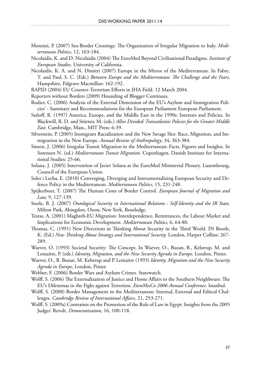- Monzini, P. (2007) Sea-Border Crossings: The Organization of Irregular Migration to Italy. *Mediterranean Politics,* 12, 163-184.
- Nicolaidis, K. and D. Nicolaidis (2004) The EuroMed Beyond Civilisational Paradigms. *Institute of European Studies.* University of California.
- Nicolaidis, K. A. and N. Dimitri (2007) Europe in the Mirror of the Mediterranean. In Fabre, T. and Paul, S. C. (Eds.) *Between Europe and the Mediterranean: The Challenge and the Fears*, Hampshire, Palgrave Macmillan: 162-192.
- RAPID (2004) EU Counter-Terrorism Efforts in JHA Field. 12 March 2004.
- Reporters without Borders (2009) Hounding of Blogger Continues.
- Rodier, C. (2006) Analysis of the External Dimension of the EU's Asylum and Immigration Policies' - Summary and Recommendations for the European Parliament European Parliament.
- Satloff, R. (1997) America, Europe, and the Middle East in the 1990s: Interests and Policies. In Blackwill, R. D. and Stürner, M. (eds.) *Allies Divided: Transatlantic Policies for the Greater Middle East.* Cambridge, Mass., MIT Press: 6-39.
- Silverstein, P. (2005) Immigrant Racialization and the New Savage Slot: Race, Migration, and Immigration in the New Europe. *Annual Review of Anthropology*, 34, 363-384.
- Simon, J. (2006) Irregular Transit Migration in the Mediterranean: Facts, Figures and Insights. In Sorensen N. (ed.) *Mediterranean Transit Migration.* Copenhagen, Danish Institute for International Studies: 25-66.
- Solana, J. (2005) Intervention of Javier Solana at the EuroMed Ministerial Plenary. Luxembourg, Council of the European Union.
- Soler i Lecha, E. (2010) Converging, Diverging and Instrumentalizing European Security and Defence Policy in the Mediterranean. *Mediterranean Politics*, 15, 231-248.
- Spijkerboer, T. (2007) The Human Costs of Border Control. *European Journal of Migration and Law,* 9, 127-139.
- Steele, B. J. (2007) *Ontological Security in International Relations : Self-Identity and the IR State,*  Milton Park, Abingdon, Oxon; New York, Routledge.
- Testas, A. (2001) Maghreb-EU Migration: Interdependence, Remittances, the Labour Market and Implications for Economic Development. *Mediterranean Politics,* 6, 64-80.
- Thomas, C. (1991) New Directions in Thinking About Security in the Third World. IN Booth, K. (Ed.) *New Thinking About Strategy and International Security.* London, Harper Collins: 267- 289.
- Waever, O. (1993) Societal Security: The Concept. In Waever, O., Buzan, B., Kelstrup, M. and Lemaitre, P. (eds.) *Identity, Migration, and the New Security Agenda in Europe.* London, Pinter.
- Waever, O., B. Buzan, M. Kelstrup and P. Lemaitre (1993) *Identity, Migration and the New Security Agenda in Europe,* London, Pinter.
- Webber, F. (2006) Border Wars and Asylum Crimes. Statewatch.
- Wolff, S. (2006) The Externalization of Justice and Home Affairs to the Southern Neighbours: The EU's Dilemmas in the Fight against Terrorism. *EuroMesCo 2006 Annual Conference.* Istanbul.
- Wolff, S. (2008) Border Management in the Mediterranean: Internal, External and Ethical Challenges. *Cambridge Review of International Affairs,* 21, 253-271.
- Wolff, S. (2009a) Contraints on the Promotion of the Role of Law in Egypt: Insights from the 2005 Judges' Revolt. *Democratization,* 16, 100-118.